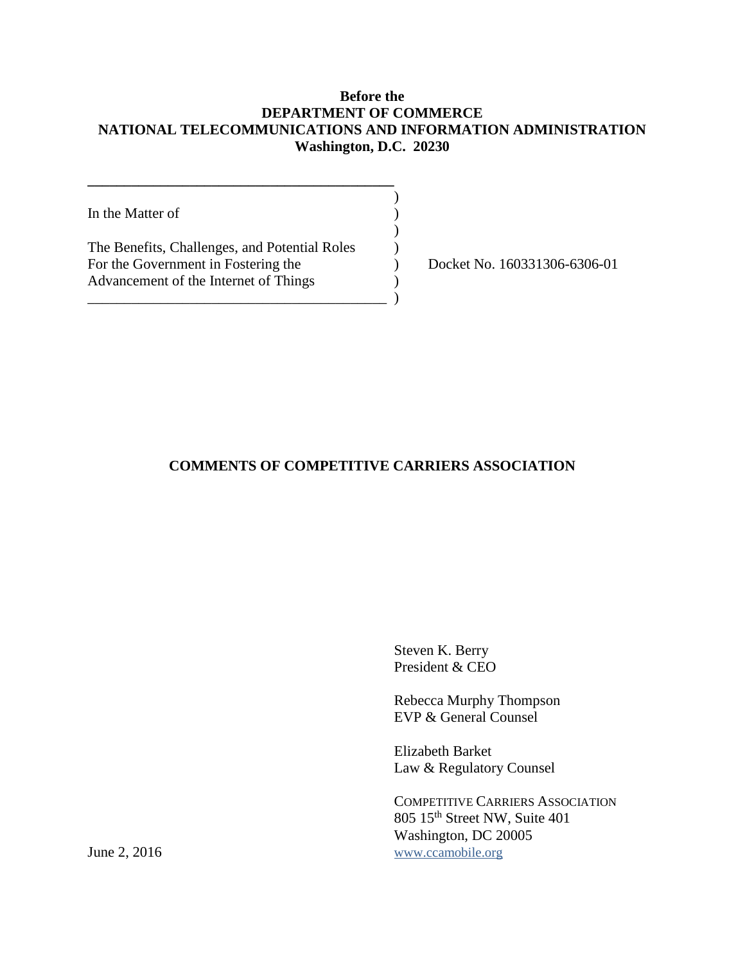## **Before the DEPARTMENT OF COMMERCE NATIONAL TELECOMMUNICATIONS AND INFORMATION ADMINISTRATION Washington, D.C. 20230**

)

)

In the Matter of  $( )$ 

The Benefits, Challenges, and Potential Roles  $\qquad \qquad$  ) For the Government in Fostering the (b) Docket No. 160331306-6306-01 Advancement of the Internet of Things  $( )$ 

**\_\_\_\_\_\_\_\_\_\_\_\_\_\_\_\_\_\_\_\_\_\_\_\_\_\_\_\_\_\_\_\_\_\_\_\_\_\_\_\_\_\_**

\_\_\_\_\_\_\_\_\_\_\_\_\_\_\_\_\_\_\_\_\_\_\_\_\_\_\_\_\_\_\_\_\_\_\_\_\_\_\_\_\_ )

## **COMMENTS OF COMPETITIVE CARRIERS ASSOCIATION**

Steven K. Berry President & CEO

Rebecca Murphy Thompson EVP & General Counsel

Elizabeth Barket Law & Regulatory Counsel

COMPETITIVE CARRIERS ASSOCIATION 805 15th Street NW, Suite 401 Washington, DC 20005 June 2, 2016 [www.ccamobile.org](http://www.ccamobile.org/)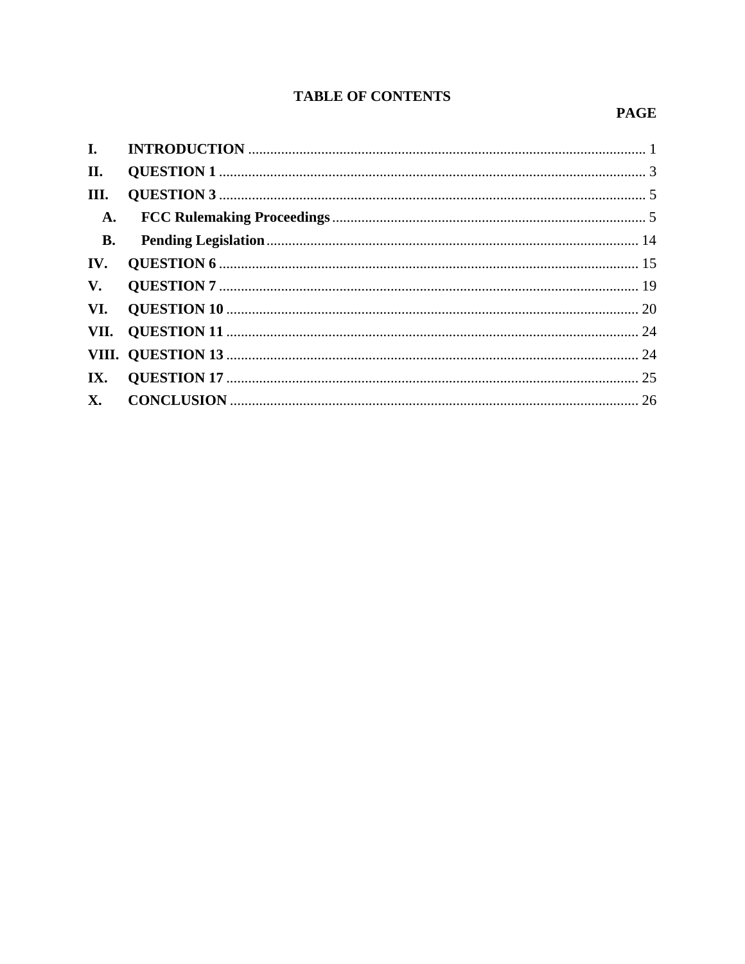# **TABLE OF CONTENTS**

## **PAGE**

| II.           |  |
|---------------|--|
| III.          |  |
| A.            |  |
| <b>B.</b>     |  |
| IV.           |  |
| $V_{\bullet}$ |  |
|               |  |
|               |  |
|               |  |
|               |  |
|               |  |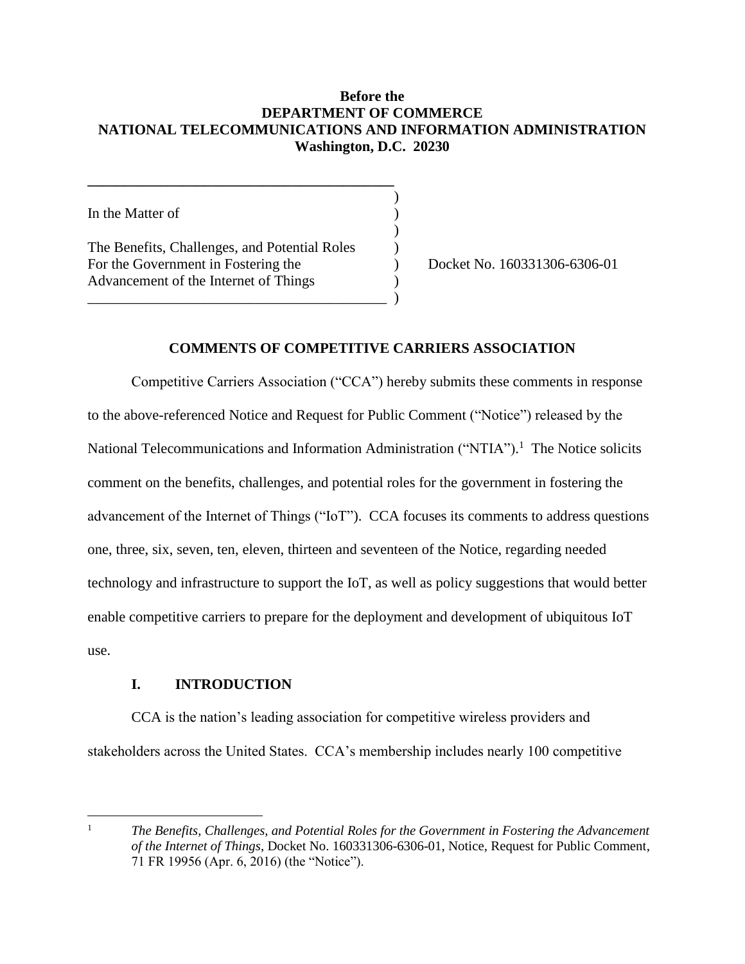## **Before the DEPARTMENT OF COMMERCE NATIONAL TELECOMMUNICATIONS AND INFORMATION ADMINISTRATION Washington, D.C. 20230**

)

)

In the Matter of  $( )$ 

The Benefits, Challenges, and Potential Roles (a) For the Government in Fostering the (a) Docket No. 160331306-6306-01 Advancement of the Internet of Things )

**\_\_\_\_\_\_\_\_\_\_\_\_\_\_\_\_\_\_\_\_\_\_\_\_\_\_\_\_\_\_\_\_\_\_\_\_\_\_\_\_\_\_**

\_\_\_\_\_\_\_\_\_\_\_\_\_\_\_\_\_\_\_\_\_\_\_\_\_\_\_\_\_\_\_\_\_\_\_\_\_\_\_\_\_ )

## **COMMENTS OF COMPETITIVE CARRIERS ASSOCIATION**

Competitive Carriers Association ("CCA") hereby submits these comments in response to the above-referenced Notice and Request for Public Comment ("Notice") released by the National Telecommunications and Information Administration ("NTIA").<sup>1</sup> The Notice solicits comment on the benefits, challenges, and potential roles for the government in fostering the advancement of the Internet of Things ("IoT"). CCA focuses its comments to address questions one, three, six, seven, ten, eleven, thirteen and seventeen of the Notice, regarding needed technology and infrastructure to support the IoT, as well as policy suggestions that would better enable competitive carriers to prepare for the deployment and development of ubiquitous IoT use.

## **I. INTRODUCTION**

 $\overline{a}$ 

<span id="page-2-0"></span>CCA is the nation's leading association for competitive wireless providers and stakeholders across the United States. CCA's membership includes nearly 100 competitive

<sup>&</sup>lt;sup>1</sup> *The Benefits, Challenges, and Potential Roles for the Government in Fostering the Advancement of the Internet of Things*, Docket No. 160331306-6306-01, Notice, Request for Public Comment, 71 FR 19956 (Apr. 6, 2016) (the "Notice").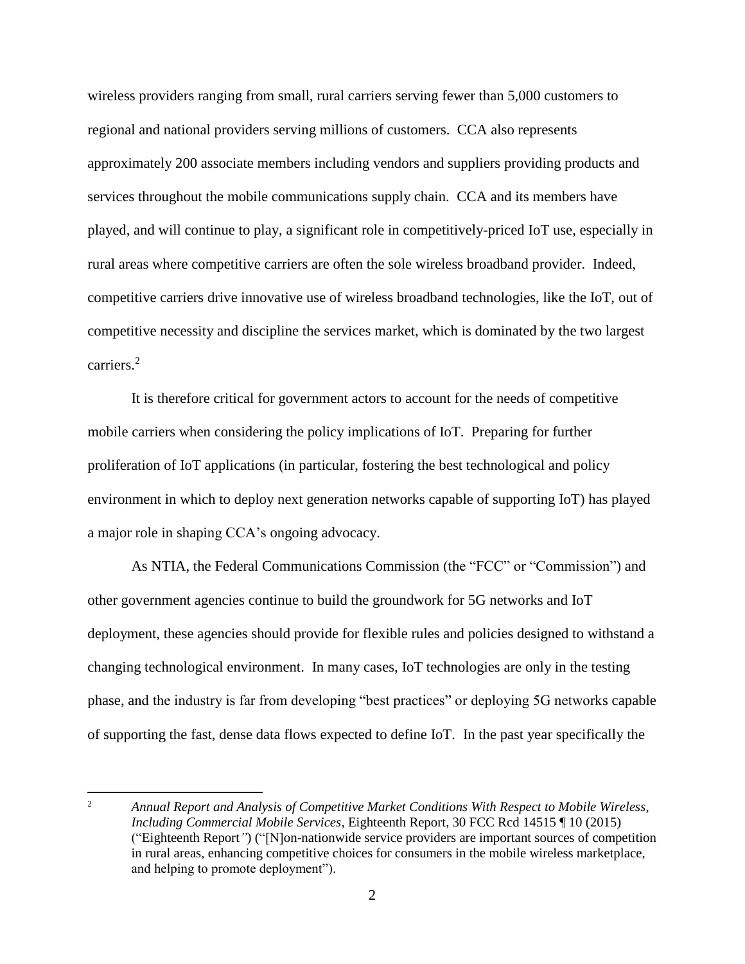wireless providers ranging from small, rural carriers serving fewer than 5,000 customers to regional and national providers serving millions of customers. CCA also represents approximately 200 associate members including vendors and suppliers providing products and services throughout the mobile communications supply chain. CCA and its members have played, and will continue to play, a significant role in competitively-priced IoT use, especially in rural areas where competitive carriers are often the sole wireless broadband provider. Indeed, competitive carriers drive innovative use of wireless broadband technologies, like the IoT, out of competitive necessity and discipline the services market, which is dominated by the two largest carriers.<sup>2</sup>

It is therefore critical for government actors to account for the needs of competitive mobile carriers when considering the policy implications of IoT. Preparing for further proliferation of IoT applications (in particular, fostering the best technological and policy environment in which to deploy next generation networks capable of supporting IoT) has played a major role in shaping CCA's ongoing advocacy.

As NTIA, the Federal Communications Commission (the "FCC" or "Commission") and other government agencies continue to build the groundwork for 5G networks and IoT deployment, these agencies should provide for flexible rules and policies designed to withstand a changing technological environment. In many cases, IoT technologies are only in the testing phase, and the industry is far from developing "best practices" or deploying 5G networks capable of supporting the fast, dense data flows expected to define IoT. In the past year specifically the

 $\overline{2}$ <sup>2</sup> *Annual Report and Analysis of Competitive Market Conditions With Respect to Mobile Wireless, Including Commercial Mobile Services*, Eighteenth Report, 30 FCC Rcd 14515 ¶ 10 (2015) ("Eighteenth Report*"*) ("[N]on-nationwide service providers are important sources of competition in rural areas, enhancing competitive choices for consumers in the mobile wireless marketplace, and helping to promote deployment").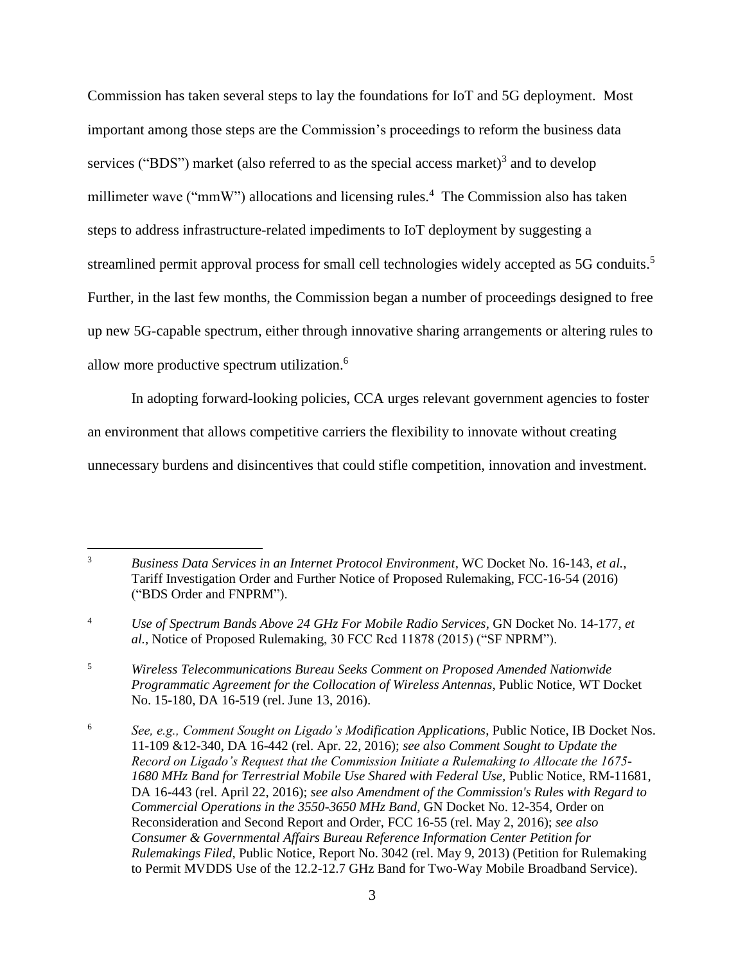Commission has taken several steps to lay the foundations for IoT and 5G deployment. Most important among those steps are the Commission's proceedings to reform the business data services ("BDS") market (also referred to as the special access market)<sup>3</sup> and to develop millimeter wave ("mmW") allocations and licensing rules.<sup>4</sup> The Commission also has taken steps to address infrastructure-related impediments to IoT deployment by suggesting a streamlined permit approval process for small cell technologies widely accepted as 5G conduits.<sup>5</sup> Further, in the last few months, the Commission began a number of proceedings designed to free up new 5G-capable spectrum, either through innovative sharing arrangements or altering rules to allow more productive spectrum utilization.<sup>6</sup>

In adopting forward-looking policies, CCA urges relevant government agencies to foster an environment that allows competitive carriers the flexibility to innovate without creating unnecessary burdens and disincentives that could stifle competition, innovation and investment.

 $\overline{a}$ 

<sup>5</sup> *Wireless Telecommunications Bureau Seeks Comment on Proposed Amended Nationwide Programmatic Agreement for the Collocation of Wireless Antennas*, Public Notice, WT Docket No. 15-180, DA 16-519 (rel. June 13, 2016).

<sup>3</sup> *Business Data Services in an Internet Protocol Environment,* WC Docket No. 16-143, *et al.*, Tariff Investigation Order and Further Notice of Proposed Rulemaking, FCC-16-54 (2016) ("BDS Order and FNPRM").

<sup>4</sup> *Use of Spectrum Bands Above 24 GHz For Mobile Radio Services*, GN Docket No. 14-177, *et al.*, Notice of Proposed Rulemaking, 30 FCC Rcd 11878 (2015) ("SF NPRM").

<sup>6</sup> *See, e.g., Comment Sought on Ligado's Modification Applications*, Public Notice, IB Docket Nos. 11-109 &12-340, DA 16-442 (rel. Apr. 22, 2016); *see also Comment Sought to Update the Record on Ligado's Request that the Commission Initiate a Rulemaking to Allocate the 1675-* 1680 MHz Band for Terrestrial Mobile Use Shared with Federal Use, Public Notice, RM-11681, DA 16-443 (rel. April 22, 2016); *see also Amendment of the Commission's Rules with Regard to Commercial Operations in the 3550-3650 MHz Band*, GN Docket No. 12-354, Order on Reconsideration and Second Report and Order, FCC 16-55 (rel. May 2, 2016); *see also Consumer & Governmental Affairs Bureau Reference Information Center Petition for Rulemakings Filed,* Public Notice, Report No. 3042 (rel. May 9, 2013) (Petition for Rulemaking to Permit MVDDS Use of the 12.2-12.7 GHz Band for Two-Way Mobile Broadband Service).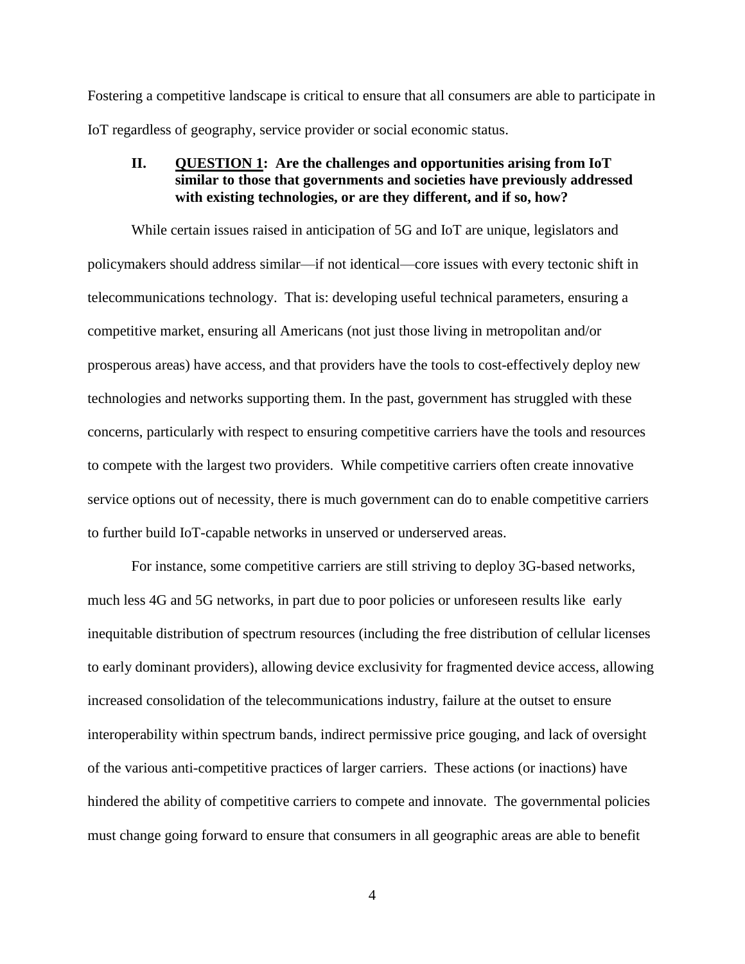Fostering a competitive landscape is critical to ensure that all consumers are able to participate in IoT regardless of geography, service provider or social economic status.

## <span id="page-5-0"></span>**II. QUESTION 1: Are the challenges and opportunities arising from IoT similar to those that governments and societies have previously addressed with existing technologies, or are they different, and if so, how?**

While certain issues raised in anticipation of 5G and IoT are unique, legislators and policymakers should address similar—if not identical—core issues with every tectonic shift in telecommunications technology. That is: developing useful technical parameters, ensuring a competitive market, ensuring all Americans (not just those living in metropolitan and/or prosperous areas) have access, and that providers have the tools to cost-effectively deploy new technologies and networks supporting them. In the past, government has struggled with these concerns, particularly with respect to ensuring competitive carriers have the tools and resources to compete with the largest two providers. While competitive carriers often create innovative service options out of necessity, there is much government can do to enable competitive carriers to further build IoT-capable networks in unserved or underserved areas.

For instance, some competitive carriers are still striving to deploy 3G-based networks, much less 4G and 5G networks, in part due to poor policies or unforeseen results like early inequitable distribution of spectrum resources (including the free distribution of cellular licenses to early dominant providers), allowing device exclusivity for fragmented device access, allowing increased consolidation of the telecommunications industry, failure at the outset to ensure interoperability within spectrum bands, indirect permissive price gouging, and lack of oversight of the various anti-competitive practices of larger carriers. These actions (or inactions) have hindered the ability of competitive carriers to compete and innovate. The governmental policies must change going forward to ensure that consumers in all geographic areas are able to benefit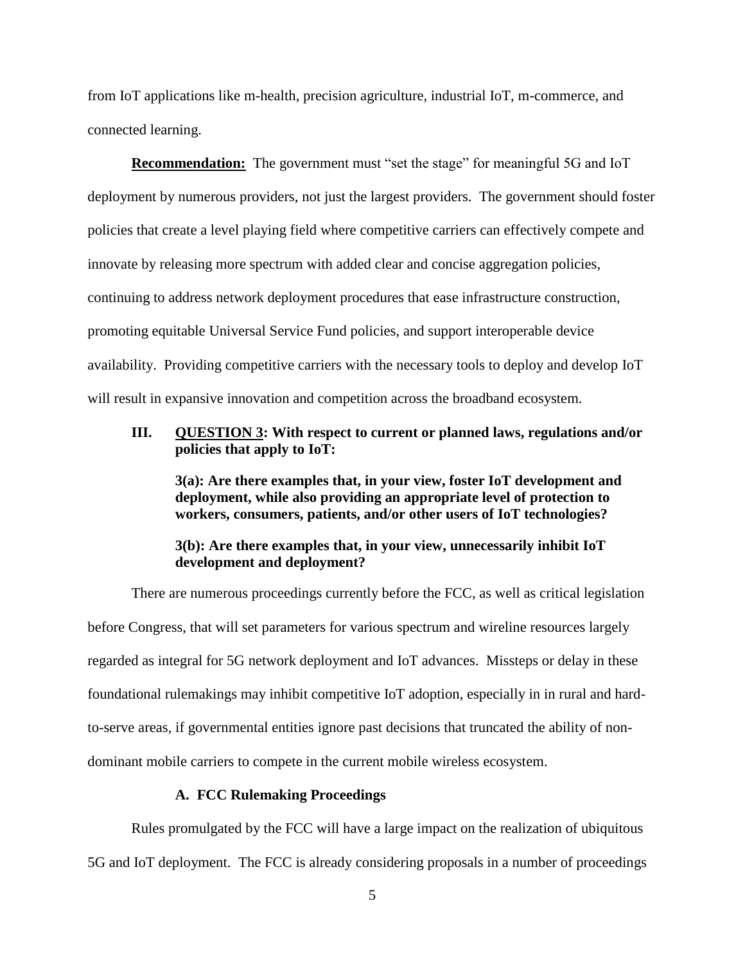from IoT applications like m-health, precision agriculture, industrial IoT, m-commerce, and connected learning.

**Recommendation:** The government must "set the stage" for meaningful 5G and IoT deployment by numerous providers, not just the largest providers. The government should foster policies that create a level playing field where competitive carriers can effectively compete and innovate by releasing more spectrum with added clear and concise aggregation policies, continuing to address network deployment procedures that ease infrastructure construction, promoting equitable Universal Service Fund policies, and support interoperable device availability. Providing competitive carriers with the necessary tools to deploy and develop IoT will result in expansive innovation and competition across the broadband ecosystem.

### <span id="page-6-0"></span>**III. QUESTION 3: With respect to current or planned laws, regulations and/or policies that apply to IoT:**

**3(a): Are there examples that, in your view, foster IoT development and deployment, while also providing an appropriate level of protection to workers, consumers, patients, and/or other users of IoT technologies?** 

## **3(b): Are there examples that, in your view, unnecessarily inhibit IoT development and deployment?**

There are numerous proceedings currently before the FCC, as well as critical legislation before Congress, that will set parameters for various spectrum and wireline resources largely regarded as integral for 5G network deployment and IoT advances. Missteps or delay in these foundational rulemakings may inhibit competitive IoT adoption, especially in in rural and hardto-serve areas, if governmental entities ignore past decisions that truncated the ability of nondominant mobile carriers to compete in the current mobile wireless ecosystem.

#### **A. FCC Rulemaking Proceedings**

<span id="page-6-1"></span>Rules promulgated by the FCC will have a large impact on the realization of ubiquitous 5G and IoT deployment. The FCC is already considering proposals in a number of proceedings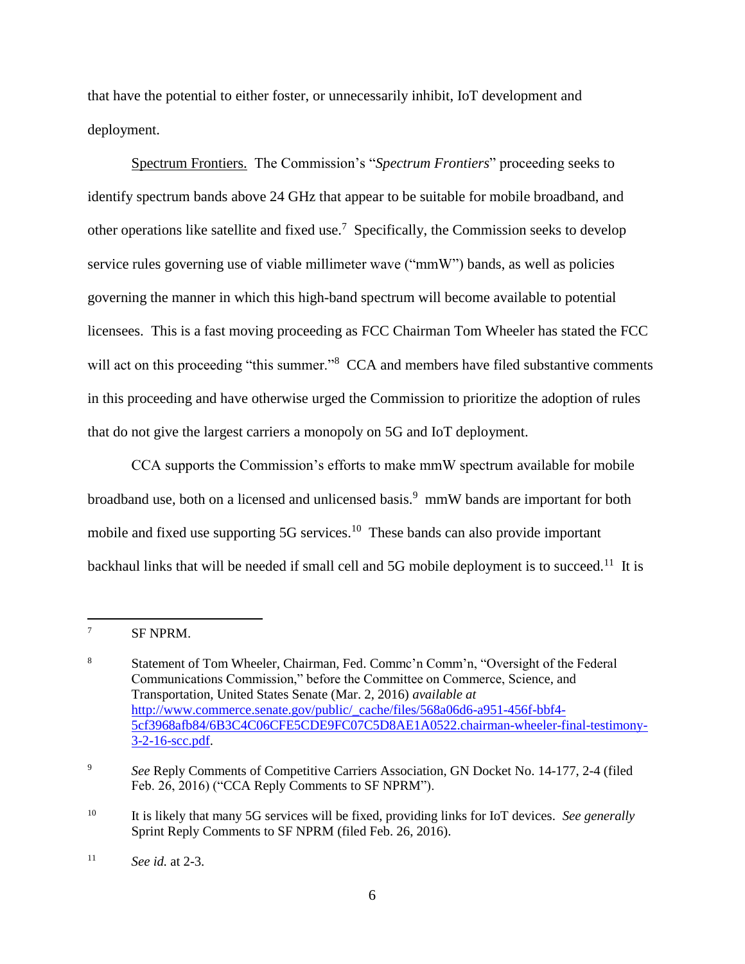that have the potential to either foster, or unnecessarily inhibit, IoT development and deployment.

Spectrum Frontiers. The Commission's "*Spectrum Frontiers*" proceeding seeks to identify spectrum bands above 24 GHz that appear to be suitable for mobile broadband, and other operations like satellite and fixed use.<sup>7</sup> Specifically, the Commission seeks to develop service rules governing use of viable millimeter wave ("mmW") bands, as well as policies governing the manner in which this high-band spectrum will become available to potential licensees. This is a fast moving proceeding as FCC Chairman Tom Wheeler has stated the FCC will act on this proceeding "this summer."<sup>8</sup> CCA and members have filed substantive comments in this proceeding and have otherwise urged the Commission to prioritize the adoption of rules that do not give the largest carriers a monopoly on 5G and IoT deployment.

CCA supports the Commission's efforts to make mmW spectrum available for mobile broadband use, both on a licensed and unlicensed basis.<sup>9</sup> mmW bands are important for both mobile and fixed use supporting 5G services.<sup>10</sup> These bands can also provide important backhaul links that will be needed if small cell and 5G mobile deployment is to succeed.<sup>11</sup> It is

 $7$  SF NPRM.

<sup>8</sup> Statement of Tom Wheeler, Chairman, Fed. Commc'n Comm'n, "Oversight of the Federal Communications Commission," before the Committee on Commerce, Science, and Transportation, United States Senate (Mar. 2, 2016) *available at*  [http://www.commerce.senate.gov/public/\\_cache/files/568a06d6-a951-456f-bbf4-](http://www.commerce.senate.gov/public/_cache/files/568a06d6-a951-456f-bbf4-%095cf3968afb84/6B3C4C06CFE5CDE9FC07C5D8AE1A0522.chairman-wheeler-final-testimony-%093-2-16-scc.pdf) [5cf3968afb84/6B3C4C06CFE5CDE9FC07C5D8AE1A0522.chairman-wheeler-final-testimony-](http://www.commerce.senate.gov/public/_cache/files/568a06d6-a951-456f-bbf4-%095cf3968afb84/6B3C4C06CFE5CDE9FC07C5D8AE1A0522.chairman-wheeler-final-testimony-%093-2-16-scc.pdf)[3-2-16-scc.pdf.](http://www.commerce.senate.gov/public/_cache/files/568a06d6-a951-456f-bbf4-%095cf3968afb84/6B3C4C06CFE5CDE9FC07C5D8AE1A0522.chairman-wheeler-final-testimony-%093-2-16-scc.pdf)

<sup>&</sup>lt;sup>9</sup> *See Reply Comments of Competitive Carriers Association, GN Docket No. 14-177, 2-4 (filed)* Feb. 26, 2016) ("CCA Reply Comments to SF NPRM").

<sup>10</sup> It is likely that many 5G services will be fixed, providing links for IoT devices. *See generally* Sprint Reply Comments to SF NPRM (filed Feb. 26, 2016).

<sup>11</sup> *See id.* at 2-3.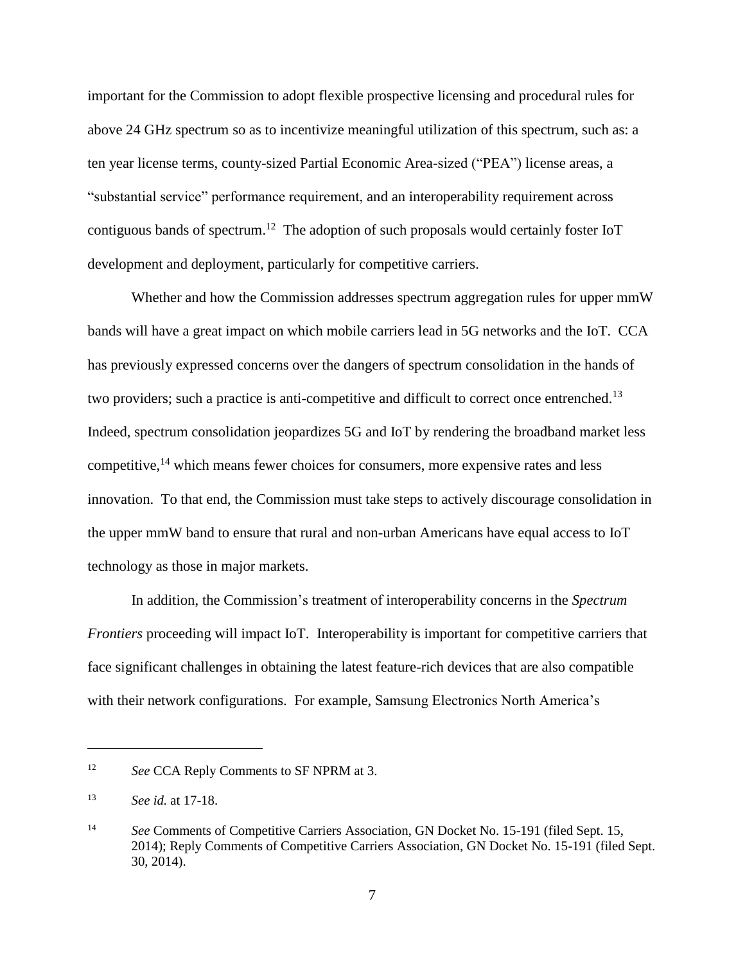important for the Commission to adopt flexible prospective licensing and procedural rules for above 24 GHz spectrum so as to incentivize meaningful utilization of this spectrum, such as: a ten year license terms, county-sized Partial Economic Area-sized ("PEA") license areas, a "substantial service" performance requirement, and an interoperability requirement across contiguous bands of spectrum.<sup>12</sup> The adoption of such proposals would certainly foster IoT development and deployment, particularly for competitive carriers.

Whether and how the Commission addresses spectrum aggregation rules for upper mmW bands will have a great impact on which mobile carriers lead in 5G networks and the IoT. CCA has previously expressed concerns over the dangers of spectrum consolidation in the hands of two providers; such a practice is anti-competitive and difficult to correct once entrenched.<sup>13</sup> Indeed, spectrum consolidation jeopardizes 5G and IoT by rendering the broadband market less competitive, <sup>14</sup> which means fewer choices for consumers, more expensive rates and less innovation. To that end, the Commission must take steps to actively discourage consolidation in the upper mmW band to ensure that rural and non-urban Americans have equal access to IoT technology as those in major markets.

In addition, the Commission's treatment of interoperability concerns in the *Spectrum Frontiers* proceeding will impact IoT. Interoperability is important for competitive carriers that face significant challenges in obtaining the latest feature-rich devices that are also compatible with their network configurations. For example, Samsung Electronics North America's

<sup>12</sup> *See* CCA Reply Comments to SF NPRM at 3.

<sup>13</sup> *See id.* at 17-18.

<sup>14</sup> *See* Comments of Competitive Carriers Association, GN Docket No. 15-191 (filed Sept. 15, 2014); Reply Comments of Competitive Carriers Association, GN Docket No. 15-191 (filed Sept. 30, 2014).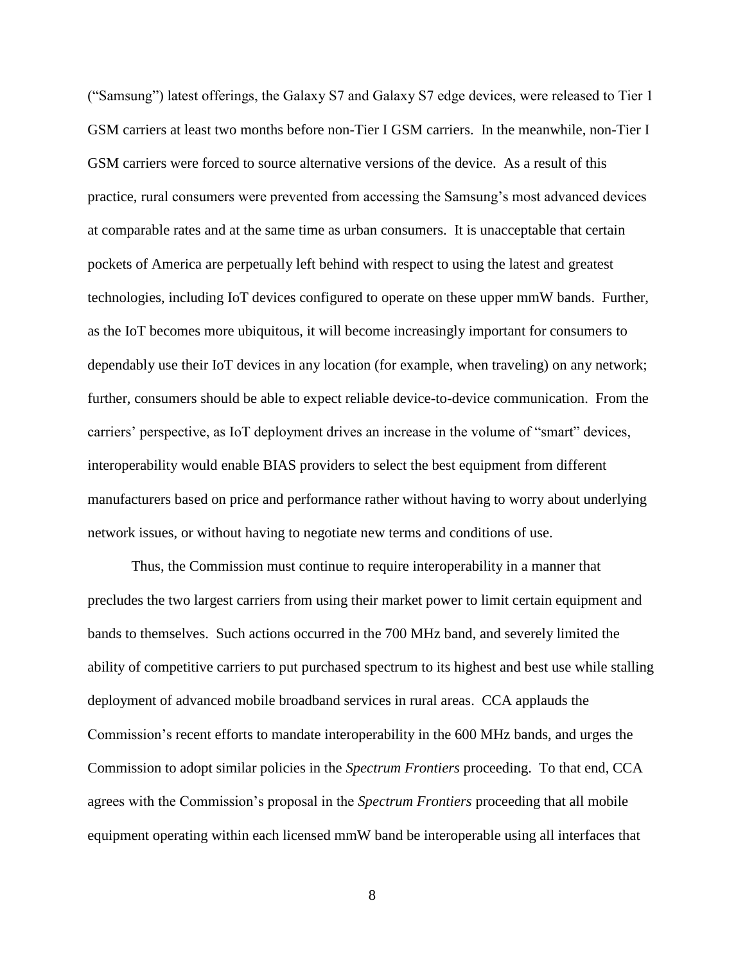("Samsung") latest offerings, the Galaxy S7 and Galaxy S7 edge devices, were released to Tier 1 GSM carriers at least two months before non-Tier I GSM carriers. In the meanwhile, non-Tier I GSM carriers were forced to source alternative versions of the device. As a result of this practice, rural consumers were prevented from accessing the Samsung's most advanced devices at comparable rates and at the same time as urban consumers. It is unacceptable that certain pockets of America are perpetually left behind with respect to using the latest and greatest technologies, including IoT devices configured to operate on these upper mmW bands. Further, as the IoT becomes more ubiquitous, it will become increasingly important for consumers to dependably use their IoT devices in any location (for example, when traveling) on any network; further, consumers should be able to expect reliable device-to-device communication. From the carriers' perspective, as IoT deployment drives an increase in the volume of "smart" devices, interoperability would enable BIAS providers to select the best equipment from different manufacturers based on price and performance rather without having to worry about underlying network issues, or without having to negotiate new terms and conditions of use.

Thus, the Commission must continue to require interoperability in a manner that precludes the two largest carriers from using their market power to limit certain equipment and bands to themselves. Such actions occurred in the 700 MHz band, and severely limited the ability of competitive carriers to put purchased spectrum to its highest and best use while stalling deployment of advanced mobile broadband services in rural areas. CCA applauds the Commission's recent efforts to mandate interoperability in the 600 MHz bands, and urges the Commission to adopt similar policies in the *Spectrum Frontiers* proceeding. To that end, CCA agrees with the Commission's proposal in the *Spectrum Frontiers* proceeding that all mobile equipment operating within each licensed mmW band be interoperable using all interfaces that

8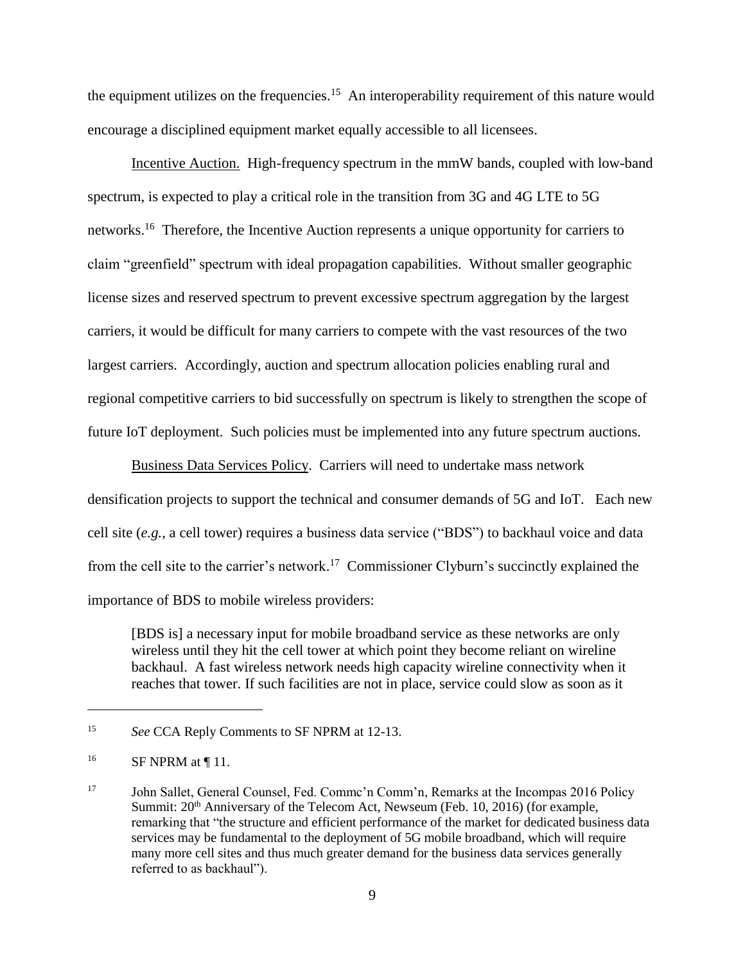the equipment utilizes on the frequencies.<sup>15</sup> An interoperability requirement of this nature would encourage a disciplined equipment market equally accessible to all licensees.

Incentive Auction. High-frequency spectrum in the mmW bands, coupled with low-band spectrum, is expected to play a critical role in the transition from 3G and 4G LTE to 5G networks.<sup>16</sup> Therefore, the Incentive Auction represents a unique opportunity for carriers to claim "greenfield" spectrum with ideal propagation capabilities. Without smaller geographic license sizes and reserved spectrum to prevent excessive spectrum aggregation by the largest carriers, it would be difficult for many carriers to compete with the vast resources of the two largest carriers. Accordingly, auction and spectrum allocation policies enabling rural and regional competitive carriers to bid successfully on spectrum is likely to strengthen the scope of future IoT deployment. Such policies must be implemented into any future spectrum auctions.

Business Data Services Policy. Carriers will need to undertake mass network densification projects to support the technical and consumer demands of 5G and IoT. Each new cell site (*e.g.*, a cell tower) requires a business data service ("BDS") to backhaul voice and data from the cell site to the carrier's network.<sup>17</sup> Commissioner Clyburn's succinctly explained the importance of BDS to mobile wireless providers:

[BDS is] a necessary input for mobile broadband service as these networks are only wireless until they hit the cell tower at which point they become reliant on wireline backhaul. A fast wireless network needs high capacity wireline connectivity when it reaches that tower. If such facilities are not in place, service could slow as soon as it

<sup>15</sup> *See* CCA Reply Comments to SF NPRM at 12-13.

 $^{16}$  SF NPRM at ¶ 11.

<sup>&</sup>lt;sup>17</sup> John Sallet, General Counsel, Fed. Commc'n Comm'n, Remarks at the Incompas 2016 Policy Summit:  $20<sup>th</sup>$  Anniversary of the Telecom Act, Newseum (Feb. 10, 2016) (for example, remarking that "the structure and efficient performance of the market for dedicated business data services may be fundamental to the deployment of 5G mobile broadband, which will require many more cell sites and thus much greater demand for the business data services generally referred to as backhaul").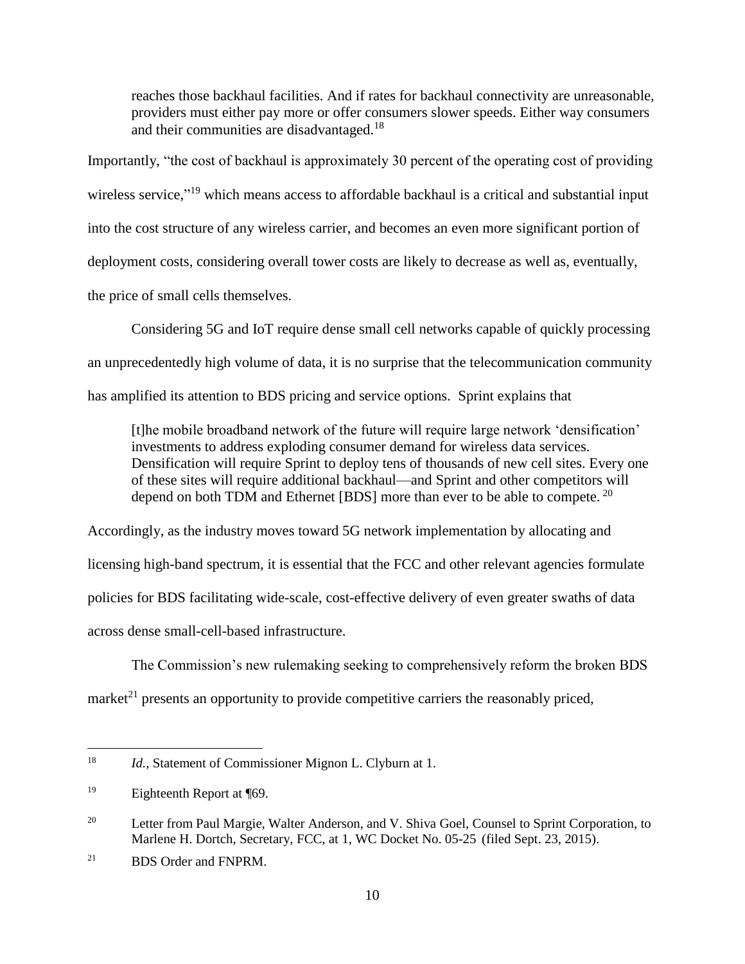reaches those backhaul facilities. And if rates for backhaul connectivity are unreasonable, providers must either pay more or offer consumers slower speeds. Either way consumers and their communities are disadvantaged.<sup>18</sup>

Importantly, "the cost of backhaul is approximately 30 percent of the operating cost of providing wireless service,"<sup>19</sup> which means access to affordable backhaul is a critical and substantial input into the cost structure of any wireless carrier, and becomes an even more significant portion of deployment costs, considering overall tower costs are likely to decrease as well as, eventually, the price of small cells themselves.

Considering 5G and IoT require dense small cell networks capable of quickly processing an unprecedentedly high volume of data, it is no surprise that the telecommunication community has amplified its attention to BDS pricing and service options. Sprint explains that

[t]he mobile broadband network of the future will require large network 'densification' investments to address exploding consumer demand for wireless data services. Densification will require Sprint to deploy tens of thousands of new cell sites. Every one of these sites will require additional backhaul—and Sprint and other competitors will depend on both TDM and Ethernet [BDS] more than ever to be able to compete.<sup>20</sup>

Accordingly, as the industry moves toward 5G network implementation by allocating and licensing high-band spectrum, it is essential that the FCC and other relevant agencies formulate policies for BDS facilitating wide-scale, cost-effective delivery of even greater swaths of data across dense small-cell-based infrastructure.

The Commission's new rulemaking seeking to comprehensively reform the broken BDS market<sup>21</sup> presents an opportunity to provide competitive carriers the reasonably priced,

<sup>&</sup>lt;sup>18</sup> *Id.*, Statement of Commissioner Mignon L. Clyburn at 1.

<sup>19</sup> Eighteenth Report at ¶69.

<sup>&</sup>lt;sup>20</sup> Letter from Paul Margie, Walter Anderson, and V. Shiva Goel, Counsel to Sprint Corporation, to Marlene H. Dortch, Secretary, FCC, at 1, WC Docket No. 05-25 (filed Sept. 23, 2015).

<sup>21</sup> BDS Order and FNPRM.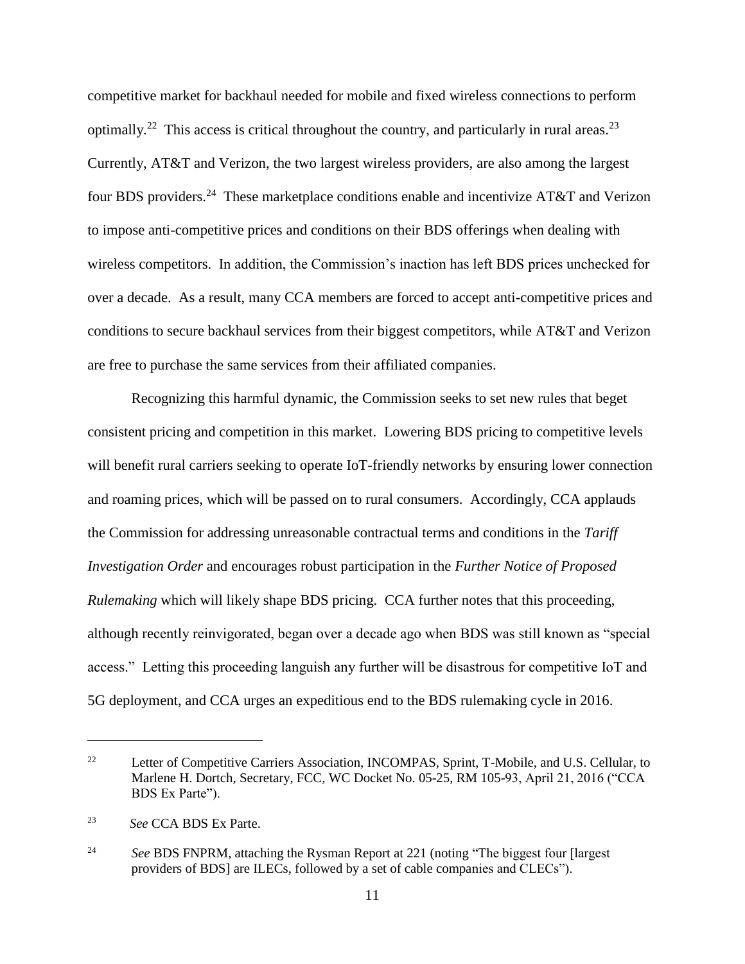competitive market for backhaul needed for mobile and fixed wireless connections to perform optimally.<sup>22</sup> This access is critical throughout the country, and particularly in rural areas.<sup>23</sup> Currently, AT&T and Verizon, the two largest wireless providers, are also among the largest four BDS providers.<sup>24</sup> These marketplace conditions enable and incentivize AT&T and Verizon to impose anti-competitive prices and conditions on their BDS offerings when dealing with wireless competitors. In addition, the Commission's inaction has left BDS prices unchecked for over a decade. As a result, many CCA members are forced to accept anti-competitive prices and conditions to secure backhaul services from their biggest competitors, while AT&T and Verizon are free to purchase the same services from their affiliated companies.

Recognizing this harmful dynamic, the Commission seeks to set new rules that beget consistent pricing and competition in this market. Lowering BDS pricing to competitive levels will benefit rural carriers seeking to operate IoT-friendly networks by ensuring lower connection and roaming prices, which will be passed on to rural consumers. Accordingly, CCA applauds the Commission for addressing unreasonable contractual terms and conditions in the *Tariff Investigation Order* and encourages robust participation in the *Further Notice of Proposed Rulemaking* which will likely shape BDS pricing. CCA further notes that this proceeding, although recently reinvigorated, began over a decade ago when BDS was still known as "special access." Letting this proceeding languish any further will be disastrous for competitive IoT and 5G deployment, and CCA urges an expeditious end to the BDS rulemaking cycle in 2016.

<sup>22</sup> Letter of Competitive Carriers Association, INCOMPAS, Sprint, T-Mobile, and U.S. Cellular, to Marlene H. Dortch, Secretary, FCC, WC Docket No. 05-25, RM 105-93, April 21, 2016 ("CCA BDS Ex Parte").

<sup>23</sup> *See* CCA BDS Ex Parte.

<sup>&</sup>lt;sup>24</sup> *See BDS FNPRM*, attaching the Rysman Report at 221 (noting "The biggest four [largest] providers of BDS] are ILECs, followed by a set of cable companies and CLECs").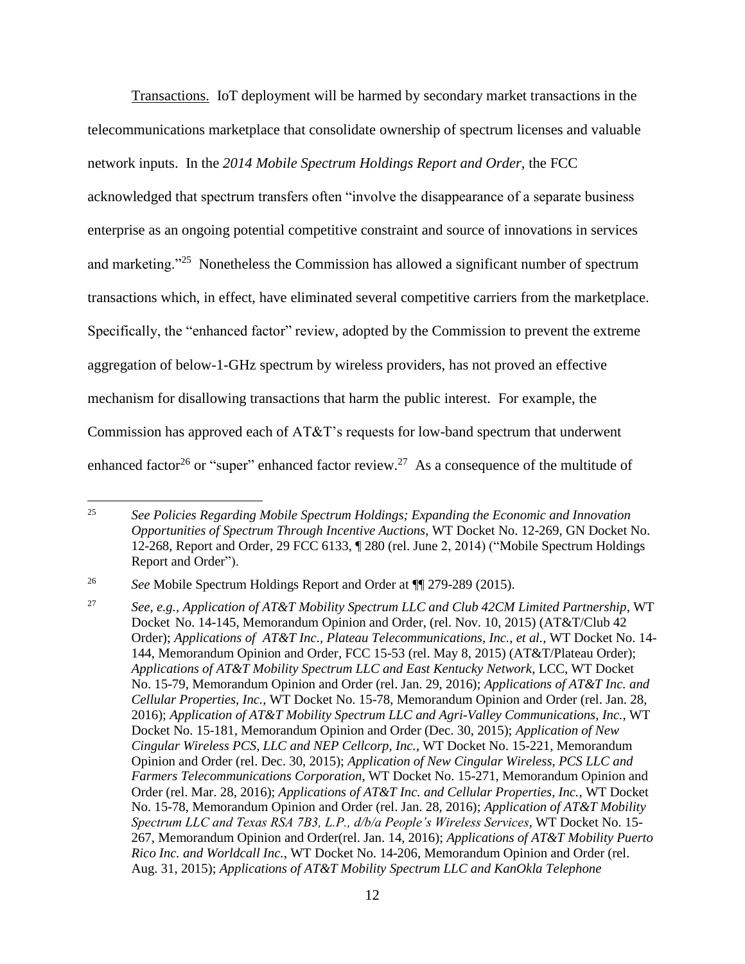Transactions. IoT deployment will be harmed by secondary market transactions in the telecommunications marketplace that consolidate ownership of spectrum licenses and valuable network inputs. In the *2014 Mobile Spectrum Holdings Report and Order,* the FCC

acknowledged that spectrum transfers often "involve the disappearance of a separate business enterprise as an ongoing potential competitive constraint and source of innovations in services and marketing."<sup>25</sup> Nonetheless the Commission has allowed a significant number of spectrum transactions which, in effect, have eliminated several competitive carriers from the marketplace. Specifically, the "enhanced factor" review, adopted by the Commission to prevent the extreme aggregation of below-1-GHz spectrum by wireless providers, has not proved an effective mechanism for disallowing transactions that harm the public interest. For example, the Commission has approved each of AT&T's requests for low-band spectrum that underwent enhanced factor<sup>26</sup> or "super" enhanced factor review.<sup>27</sup> As a consequence of the multitude of

<sup>25</sup> *See Policies Regarding Mobile Spectrum Holdings; Expanding the Economic and Innovation Opportunities of Spectrum Through Incentive Auctions*, WT Docket No. 12-269, GN Docket No. 12-268, Report and Order, 29 FCC 6133, ¶ 280 (rel. June 2, 2014) ("Mobile Spectrum Holdings Report and Order").

<sup>26</sup> *See* Mobile Spectrum Holdings Report and Order at ¶¶ 279-289 (2015).

<sup>27</sup> *See, e.g., Application of AT&T Mobility Spectrum LLC and Club 42CM Limited Partnership*, WT Docket No. 14-145, Memorandum Opinion and Order, (rel. Nov. 10, 2015) (AT&T/Club 42 Order); *Applications of AT&T Inc., Plateau Telecommunications, Inc., et al.,* WT Docket No. 14- 144, Memorandum Opinion and Order, FCC 15-53 (rel. May 8, 2015) (AT&T/Plateau Order); *Applications of AT&T Mobility Spectrum LLC and East Kentucky Network*, LCC, WT Docket No. 15-79, Memorandum Opinion and Order (rel. Jan. 29, 2016); *Applications of AT&T Inc. and Cellular Properties, Inc.,* WT Docket No. 15-78, Memorandum Opinion and Order (rel. Jan. 28, 2016); *Application of AT&T Mobility Spectrum LLC and Agri-Valley Communications, Inc.*, WT Docket No. 15-181, Memorandum Opinion and Order (Dec. 30, 2015); *Application of New Cingular Wireless PCS, LLC and NEP Cellcorp, Inc.*, WT Docket No. 15-221, Memorandum Opinion and Order (rel. Dec. 30, 2015); *Application of New Cingular Wireless, PCS LLC and Farmers Telecommunications Corporation*, WT Docket No. 15-271, Memorandum Opinion and Order (rel. Mar. 28, 2016); *Applications of AT&T Inc. and Cellular Properties, Inc.*, WT Docket No. 15-78, Memorandum Opinion and Order (rel. Jan. 28, 2016); *Application of AT&T Mobility Spectrum LLC and Texas RSA 7B3, L.P., d/b/a People's Wireless Services*, WT Docket No. 15- 267, Memorandum Opinion and Order(rel. Jan. 14, 2016); *Applications of AT&T Mobility Puerto Rico Inc. and Worldcall Inc.*, WT Docket No. 14-206, Memorandum Opinion and Order (rel. Aug. 31, 2015); *Applications of AT&T Mobility Spectrum LLC and KanOkla Telephone*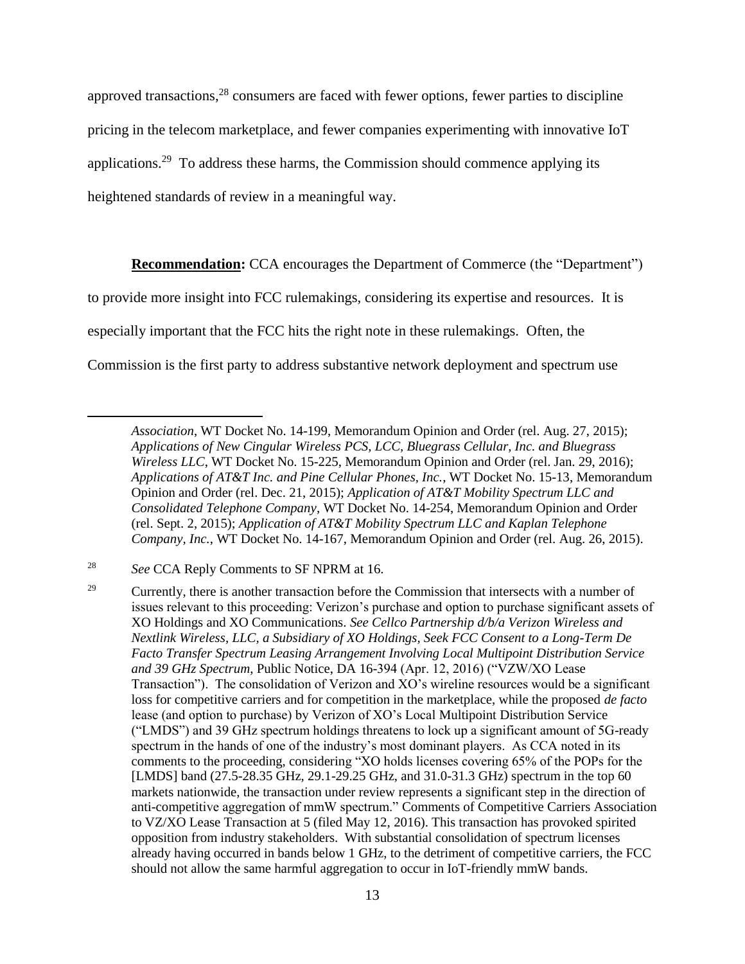approved transactions,<sup>28</sup> consumers are faced with fewer options, fewer parties to discipline pricing in the telecom marketplace, and fewer companies experimenting with innovative IoT applications.<sup>29</sup> To address these harms, the Commission should commence applying its heightened standards of review in a meaningful way.

**Recommendation:** CCA encourages the Department of Commerce (the "Department")

to provide more insight into FCC rulemakings, considering its expertise and resources. It is

especially important that the FCC hits the right note in these rulemakings. Often, the

Commission is the first party to address substantive network deployment and spectrum use

*Association*, WT Docket No. 14-199, Memorandum Opinion and Order (rel. Aug. 27, 2015); *Applications of New Cingular Wireless PCS, LCC, Bluegrass Cellular, Inc. and Bluegrass Wireless LLC*, WT Docket No. 15-225, Memorandum Opinion and Order (rel. Jan. 29, 2016); *Applications of AT&T Inc. and Pine Cellular Phones, Inc.*, WT Docket No. 15-13, Memorandum Opinion and Order (rel. Dec. 21, 2015); *Application of AT&T Mobility Spectrum LLC and Consolidated Telephone Company*, WT Docket No. 14-254, Memorandum Opinion and Order (rel. Sept. 2, 2015); *Application of AT&T Mobility Spectrum LLC and Kaplan Telephone Company, Inc.*, WT Docket No. 14-167, Memorandum Opinion and Order (rel. Aug. 26, 2015).

<sup>28</sup> *See* CCA Reply Comments to SF NPRM at 16.

<sup>&</sup>lt;sup>29</sup> Currently, there is another transaction before the Commission that intersects with a number of issues relevant to this proceeding: Verizon's purchase and option to purchase significant assets of XO Holdings and XO Communications. *See Cellco Partnership d/b/a Verizon Wireless and Nextlink Wireless, LLC, a Subsidiary of XO Holdings, Seek FCC Consent to a Long-Term De Facto Transfer Spectrum Leasing Arrangement Involving Local Multipoint Distribution Service and 39 GHz Spectrum*, Public Notice, DA 16-394 (Apr. 12, 2016) ("VZW/XO Lease Transaction"). The consolidation of Verizon and XO's wireline resources would be a significant loss for competitive carriers and for competition in the marketplace, while the proposed *de facto*  lease (and option to purchase) by Verizon of XO's Local Multipoint Distribution Service ("LMDS") and 39 GHz spectrum holdings threatens to lock up a significant amount of 5G-ready spectrum in the hands of one of the industry's most dominant players. As CCA noted in its comments to the proceeding, considering "XO holds licenses covering 65% of the POPs for the [LMDS] band (27.5-28.35 GHz, 29.1-29.25 GHz, and 31.0-31.3 GHz) spectrum in the top 60 markets nationwide, the transaction under review represents a significant step in the direction of anti-competitive aggregation of mmW spectrum." Comments of Competitive Carriers Association to VZ/XO Lease Transaction at 5 (filed May 12, 2016). This transaction has provoked spirited opposition from industry stakeholders. With substantial consolidation of spectrum licenses already having occurred in bands below 1 GHz, to the detriment of competitive carriers, the FCC should not allow the same harmful aggregation to occur in IoT-friendly mmW bands.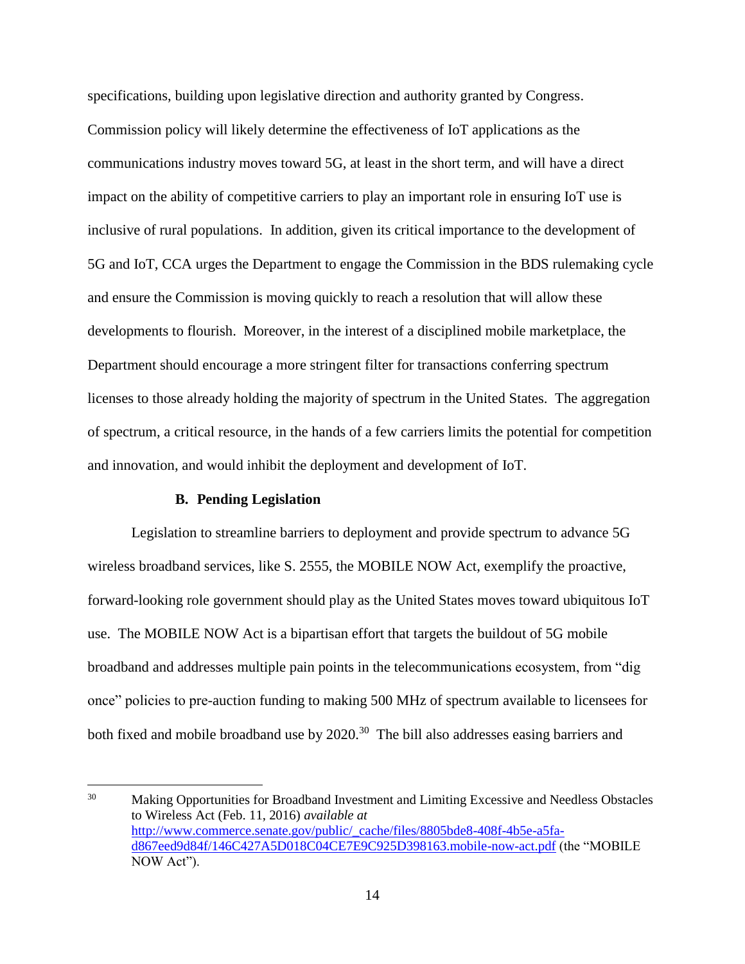specifications, building upon legislative direction and authority granted by Congress. Commission policy will likely determine the effectiveness of IoT applications as the communications industry moves toward 5G, at least in the short term, and will have a direct impact on the ability of competitive carriers to play an important role in ensuring IoT use is inclusive of rural populations. In addition, given its critical importance to the development of 5G and IoT, CCA urges the Department to engage the Commission in the BDS rulemaking cycle and ensure the Commission is moving quickly to reach a resolution that will allow these developments to flourish. Moreover, in the interest of a disciplined mobile marketplace, the Department should encourage a more stringent filter for transactions conferring spectrum licenses to those already holding the majority of spectrum in the United States. The aggregation of spectrum, a critical resource, in the hands of a few carriers limits the potential for competition and innovation, and would inhibit the deployment and development of IoT.

#### **B. Pending Legislation**

 $\overline{a}$ 

<span id="page-15-0"></span>Legislation to streamline barriers to deployment and provide spectrum to advance 5G wireless broadband services, like S. 2555, the MOBILE NOW Act, exemplify the proactive, forward-looking role government should play as the United States moves toward ubiquitous IoT use. The MOBILE NOW Act is a bipartisan effort that targets the buildout of 5G mobile broadband and addresses multiple pain points in the telecommunications ecosystem, from "dig once" policies to pre-auction funding to making 500 MHz of spectrum available to licensees for both fixed and mobile broadband use by 2020.<sup>30</sup> The bill also addresses easing barriers and

<sup>&</sup>lt;sup>30</sup> Making Opportunities for Broadband Investment and Limiting Excessive and Needless Obstacles to Wireless Act (Feb. 11, 2016) *available at* [http://www.commerce.senate.gov/public/\\_cache/files/8805bde8-408f-4b5e-a5fa](http://www.commerce.senate.gov/public/_cache/files/8805bde8-408f-4b5e-a5fa-%09d867eed9d84f/146C427A5D018C04CE7E9C925D398163.mobile-now-act.pdf)[d867eed9d84f/146C427A5D018C04CE7E9C925D398163.mobile-now-act.pdf](http://www.commerce.senate.gov/public/_cache/files/8805bde8-408f-4b5e-a5fa-%09d867eed9d84f/146C427A5D018C04CE7E9C925D398163.mobile-now-act.pdf) (the "MOBILE NOW Act").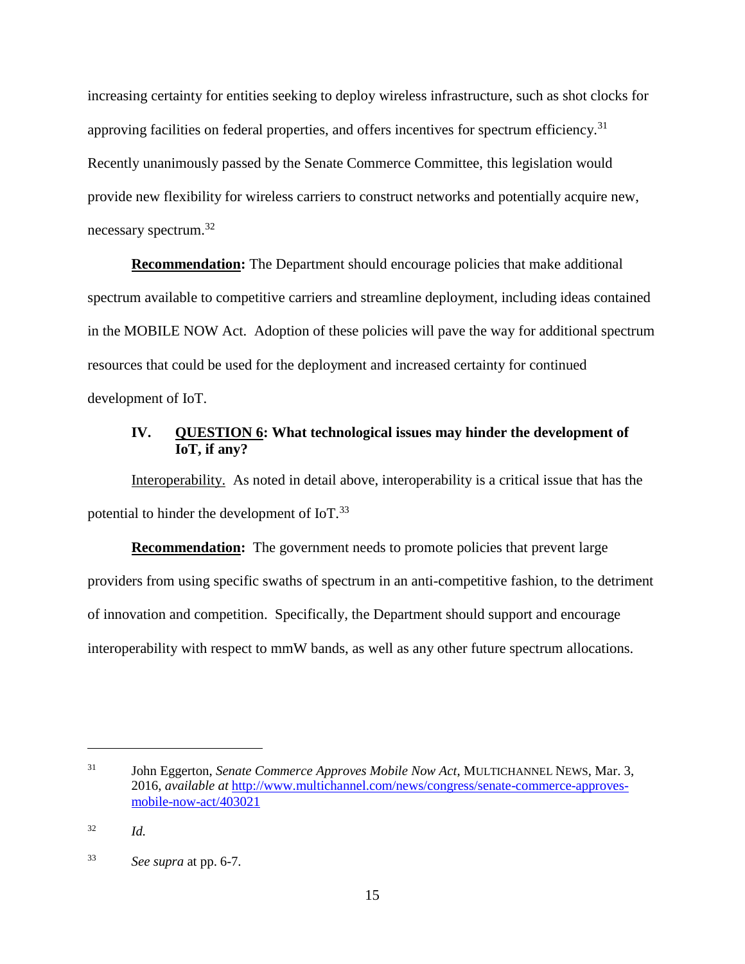increasing certainty for entities seeking to deploy wireless infrastructure, such as shot clocks for approving facilities on federal properties, and offers incentives for spectrum efficiency.<sup>31</sup> Recently unanimously passed by the Senate Commerce Committee, this legislation would provide new flexibility for wireless carriers to construct networks and potentially acquire new, necessary spectrum.<sup>32</sup>

**Recommendation:** The Department should encourage policies that make additional spectrum available to competitive carriers and streamline deployment, including ideas contained in the MOBILE NOW Act. Adoption of these policies will pave the way for additional spectrum resources that could be used for the deployment and increased certainty for continued development of IoT.

## <span id="page-16-0"></span>**IV. QUESTION 6: What technological issues may hinder the development of IoT, if any?**

Interoperability. As noted in detail above, interoperability is a critical issue that has the potential to hinder the development of  $IoT<sup>33</sup>$ 

**Recommendation:** The government needs to promote policies that prevent large providers from using specific swaths of spectrum in an anti-competitive fashion, to the detriment of innovation and competition. Specifically, the Department should support and encourage interoperability with respect to mmW bands, as well as any other future spectrum allocations.

<sup>&</sup>lt;sup>31</sup> John Eggerton, *Senate Commerce Approves Mobile Now Act*, MULTICHANNEL NEWS, Mar. 3, 2016, *available at* [http://www.multichannel.com/news/congress/senate-commerce-approves](http://www.multichannel.com/news/congress/senate-commerce-approves-%09mobile-now-act/403021)[mobile-now-act/403021](http://www.multichannel.com/news/congress/senate-commerce-approves-%09mobile-now-act/403021)

<sup>32</sup> *Id.*

<sup>33</sup> *See supra* at pp. 6-7.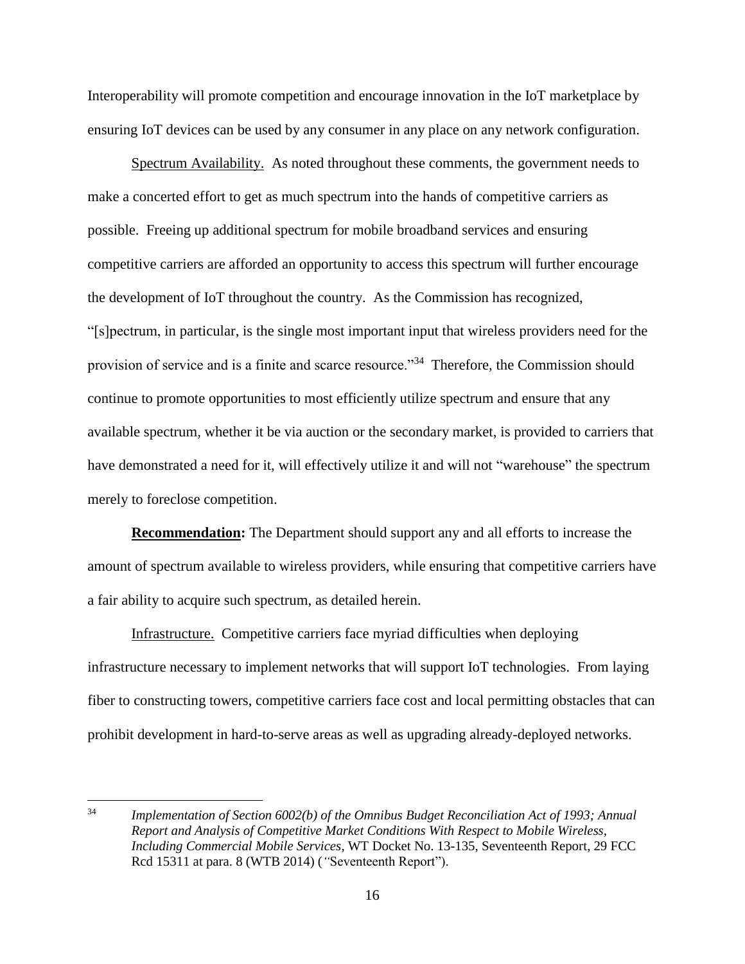Interoperability will promote competition and encourage innovation in the IoT marketplace by ensuring IoT devices can be used by any consumer in any place on any network configuration.

Spectrum Availability. As noted throughout these comments, the government needs to make a concerted effort to get as much spectrum into the hands of competitive carriers as possible. Freeing up additional spectrum for mobile broadband services and ensuring competitive carriers are afforded an opportunity to access this spectrum will further encourage the development of IoT throughout the country. As the Commission has recognized, "[s]pectrum, in particular, is the single most important input that wireless providers need for the provision of service and is a finite and scarce resource."<sup>34</sup> Therefore, the Commission should continue to promote opportunities to most efficiently utilize spectrum and ensure that any available spectrum, whether it be via auction or the secondary market, is provided to carriers that have demonstrated a need for it, will effectively utilize it and will not "warehouse" the spectrum merely to foreclose competition.

**Recommendation:** The Department should support any and all efforts to increase the amount of spectrum available to wireless providers, while ensuring that competitive carriers have a fair ability to acquire such spectrum, as detailed herein.

Infrastructure. Competitive carriers face myriad difficulties when deploying infrastructure necessary to implement networks that will support IoT technologies. From laying fiber to constructing towers, competitive carriers face cost and local permitting obstacles that can prohibit development in hard-to-serve areas as well as upgrading already-deployed networks.

<sup>34</sup> *Implementation of Section 6002(b) of the Omnibus Budget Reconciliation Act of 1993; Annual Report and Analysis of Competitive Market Conditions With Respect to Mobile Wireless, Including Commercial Mobile Services*, WT Docket No. 13-135, Seventeenth Report, 29 FCC Rcd 15311 at para. 8 (WTB 2014) (*"*Seventeenth Report").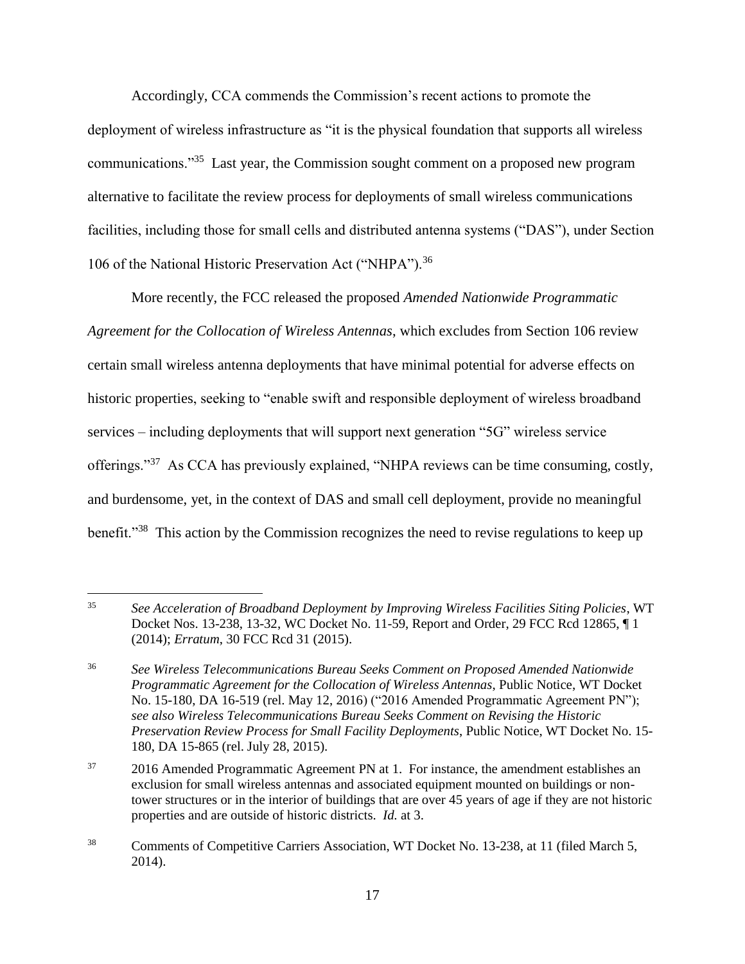Accordingly, CCA commends the Commission's recent actions to promote the deployment of wireless infrastructure as "it is the physical foundation that supports all wireless communications."<sup>35</sup> Last year, the Commission sought comment on a proposed new program alternative to facilitate the review process for deployments of small wireless communications facilities, including those for small cells and distributed antenna systems ("DAS"), under Section 106 of the National Historic Preservation Act ("NHPA").<sup>36</sup>

More recently, the FCC released the proposed *Amended Nationwide Programmatic* 

*Agreement for the Collocation of Wireless Antennas*, which excludes from Section 106 review certain small wireless antenna deployments that have minimal potential for adverse effects on historic properties, seeking to "enable swift and responsible deployment of wireless broadband services – including deployments that will support next generation "5G" wireless service offerings."<sup>37</sup> As CCA has previously explained, "NHPA reviews can be time consuming, costly, and burdensome, yet, in the context of DAS and small cell deployment, provide no meaningful benefit."<sup>38</sup> This action by the Commission recognizes the need to revise regulations to keep up

<sup>35</sup> *See Acceleration of Broadband Deployment by Improving Wireless Facilities Siting Policies*, WT Docket Nos. 13-238, 13-32, WC Docket No. 11-59, Report and Order, 29 FCC Rcd 12865, ¶ 1 (2014); *Erratum*, 30 FCC Rcd 31 (2015).

<sup>36</sup> *See Wireless Telecommunications Bureau Seeks Comment on Proposed Amended Nationwide Programmatic Agreement for the Collocation of Wireless Antennas*, Public Notice, WT Docket No. 15-180, DA 16-519 (rel. May 12, 2016) ("2016 Amended Programmatic Agreement PN"); *see also Wireless Telecommunications Bureau Seeks Comment on Revising the Historic Preservation Review Process for Small Facility Deployments*, Public Notice, WT Docket No. 15- 180, DA 15-865 (rel. July 28, 2015).

<sup>&</sup>lt;sup>37</sup> 2016 Amended Programmatic Agreement PN at 1. For instance, the amendment establishes an exclusion for small wireless antennas and associated equipment mounted on buildings or nontower structures or in the interior of buildings that are over 45 years of age if they are not historic properties and are outside of historic districts. *Id.* at 3.

<sup>&</sup>lt;sup>38</sup> Comments of Competitive Carriers Association, WT Docket No. 13-238, at 11 (filed March 5, 2014).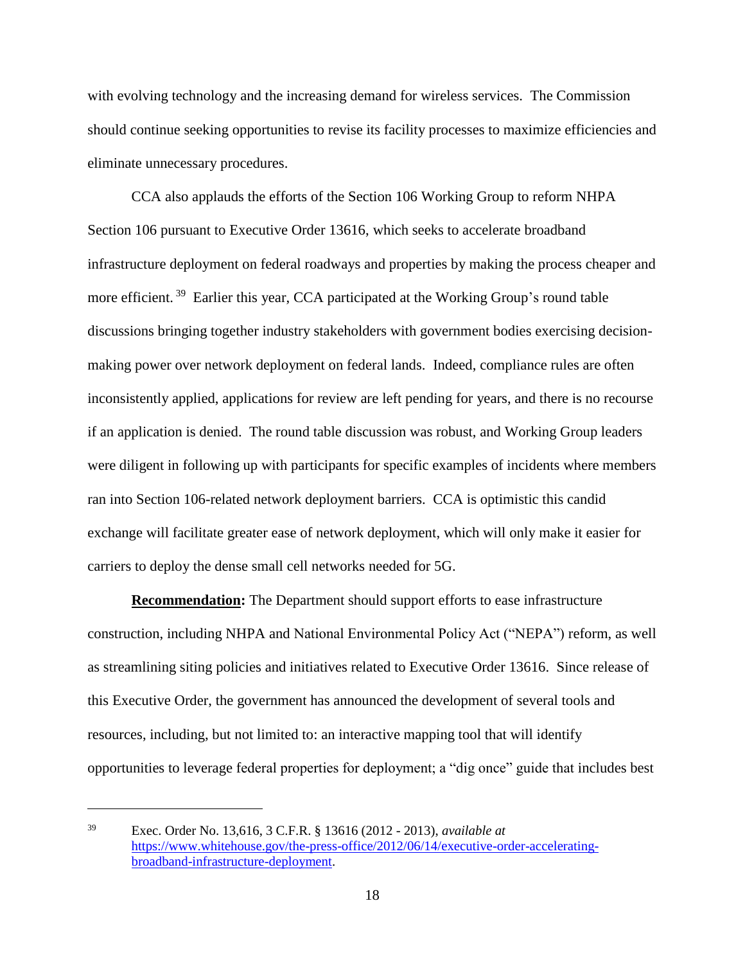with evolving technology and the increasing demand for wireless services. The Commission should continue seeking opportunities to revise its facility processes to maximize efficiencies and eliminate unnecessary procedures.

CCA also applauds the efforts of the Section 106 Working Group to reform NHPA Section 106 pursuant to Executive Order 13616, which seeks to accelerate broadband infrastructure deployment on federal roadways and properties by making the process cheaper and more efficient.<sup>39</sup> Earlier this year, CCA participated at the Working Group's round table discussions bringing together industry stakeholders with government bodies exercising decisionmaking power over network deployment on federal lands. Indeed, compliance rules are often inconsistently applied, applications for review are left pending for years, and there is no recourse if an application is denied. The round table discussion was robust, and Working Group leaders were diligent in following up with participants for specific examples of incidents where members ran into Section 106-related network deployment barriers. CCA is optimistic this candid exchange will facilitate greater ease of network deployment, which will only make it easier for carriers to deploy the dense small cell networks needed for 5G.

**Recommendation:** The Department should support efforts to ease infrastructure construction, including NHPA and National Environmental Policy Act ("NEPA") reform, as well as streamlining siting policies and initiatives related to Executive Order 13616. Since release of this Executive Order, the government has announced the development of several tools and resources, including, but not limited to: an interactive mapping tool that will identify opportunities to leverage federal properties for deployment; a "dig once" guide that includes best

<sup>39</sup> Exec. Order No. 13,616, 3 C.F.R. § 13616 (2012 - 2013), *available at*  [https://www.whitehouse.gov/the-press-office/2012/06/14/executive-order-accelerating](https://www.whitehouse.gov/the-press-office/2012/06/14/executive-order-accelerating-%09broadband-infrastructure-deployment)[broadband-infrastructure-deployment.](https://www.whitehouse.gov/the-press-office/2012/06/14/executive-order-accelerating-%09broadband-infrastructure-deployment)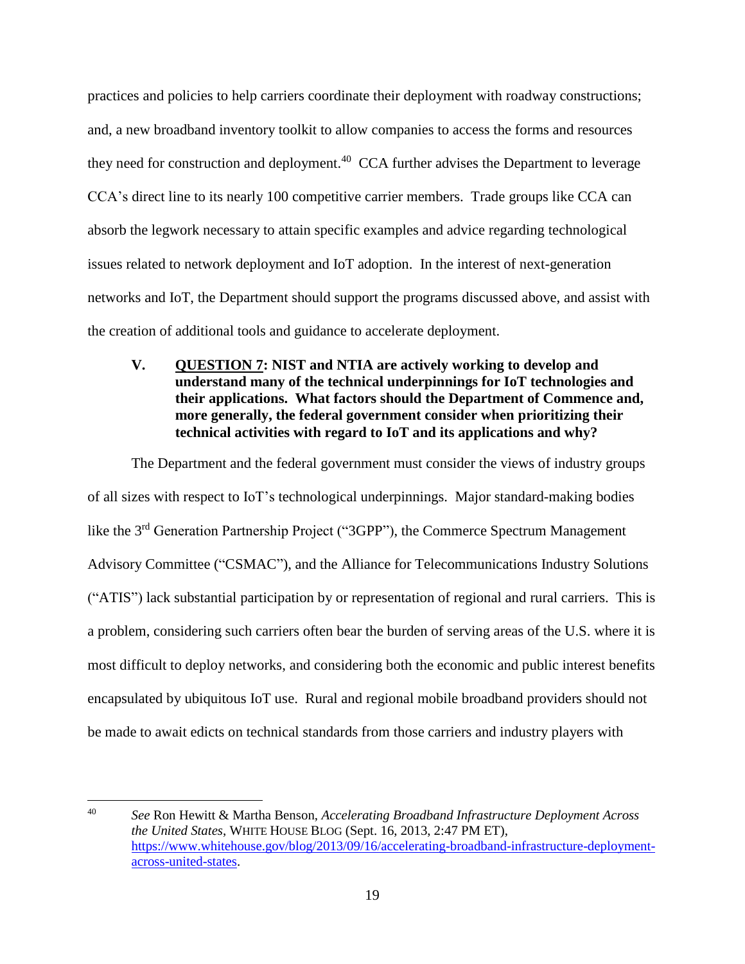practices and policies to help carriers coordinate their deployment with roadway constructions; and, a new broadband inventory toolkit to allow companies to access the forms and resources they need for construction and deployment.<sup>40</sup> CCA further advises the Department to leverage CCA's direct line to its nearly 100 competitive carrier members. Trade groups like CCA can absorb the legwork necessary to attain specific examples and advice regarding technological issues related to network deployment and IoT adoption. In the interest of next-generation networks and IoT, the Department should support the programs discussed above, and assist with the creation of additional tools and guidance to accelerate deployment.

<span id="page-20-0"></span>**V. QUESTION 7: NIST and NTIA are actively working to develop and understand many of the technical underpinnings for IoT technologies and their applications. What factors should the Department of Commence and, more generally, the federal government consider when prioritizing their technical activities with regard to IoT and its applications and why?**

The Department and the federal government must consider the views of industry groups of all sizes with respect to IoT's technological underpinnings. Major standard-making bodies like the 3<sup>rd</sup> Generation Partnership Project ("3GPP"), the Commerce Spectrum Management Advisory Committee ("CSMAC"), and the Alliance for Telecommunications Industry Solutions ("ATIS") lack substantial participation by or representation of regional and rural carriers. This is a problem, considering such carriers often bear the burden of serving areas of the U.S. where it is most difficult to deploy networks, and considering both the economic and public interest benefits encapsulated by ubiquitous IoT use. Rural and regional mobile broadband providers should not be made to await edicts on technical standards from those carriers and industry players with

<sup>40</sup> *See* Ron Hewitt & Martha Benson, *Accelerating Broadband Infrastructure Deployment Across the United States*, WHITE HOUSE BLOG (Sept. 16, 2013, 2:47 PM ET), [https://www.whitehouse.gov/blog/2013/09/16/accelerating-broadband-infrastructure-deployment](https://www.whitehouse.gov/blog/2013/09/16/accelerating-broadband-infrastructure-deployment-%09across-united-states)[across-united-states.](https://www.whitehouse.gov/blog/2013/09/16/accelerating-broadband-infrastructure-deployment-%09across-united-states)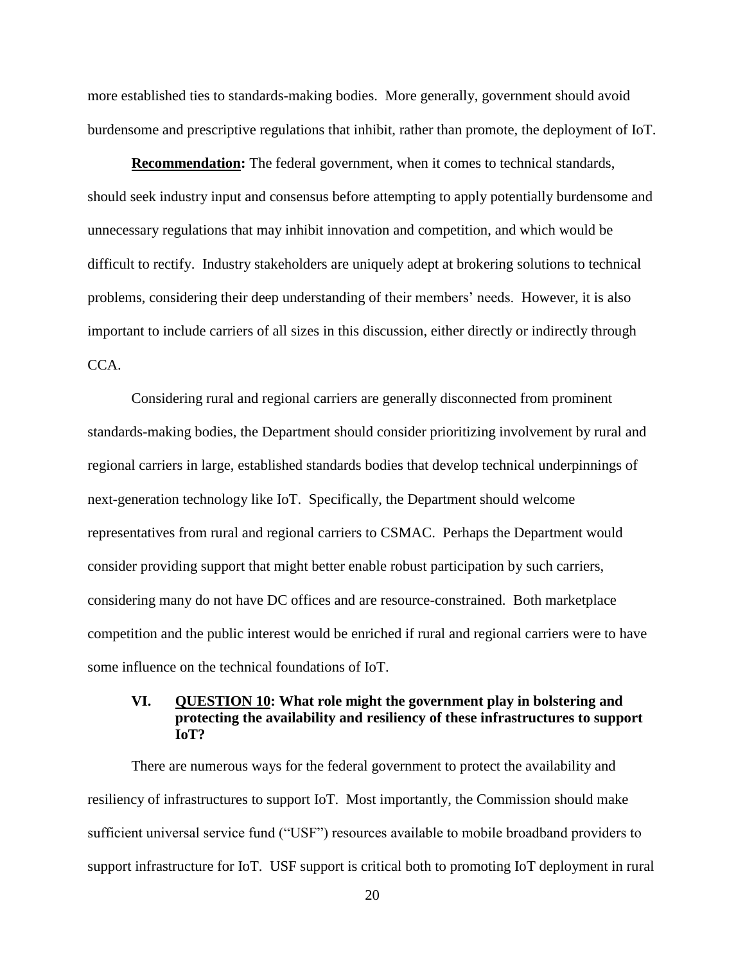more established ties to standards-making bodies. More generally, government should avoid burdensome and prescriptive regulations that inhibit, rather than promote, the deployment of IoT.

**Recommendation:** The federal government, when it comes to technical standards, should seek industry input and consensus before attempting to apply potentially burdensome and unnecessary regulations that may inhibit innovation and competition, and which would be difficult to rectify. Industry stakeholders are uniquely adept at brokering solutions to technical problems, considering their deep understanding of their members' needs. However, it is also important to include carriers of all sizes in this discussion, either directly or indirectly through CCA.

Considering rural and regional carriers are generally disconnected from prominent standards-making bodies, the Department should consider prioritizing involvement by rural and regional carriers in large, established standards bodies that develop technical underpinnings of next-generation technology like IoT. Specifically, the Department should welcome representatives from rural and regional carriers to CSMAC. Perhaps the Department would consider providing support that might better enable robust participation by such carriers, considering many do not have DC offices and are resource-constrained. Both marketplace competition and the public interest would be enriched if rural and regional carriers were to have some influence on the technical foundations of IoT.

## <span id="page-21-0"></span>**VI. QUESTION 10: What role might the government play in bolstering and protecting the availability and resiliency of these infrastructures to support IoT?**

There are numerous ways for the federal government to protect the availability and resiliency of infrastructures to support IoT. Most importantly, the Commission should make sufficient universal service fund ("USF") resources available to mobile broadband providers to support infrastructure for IoT. USF support is critical both to promoting IoT deployment in rural

20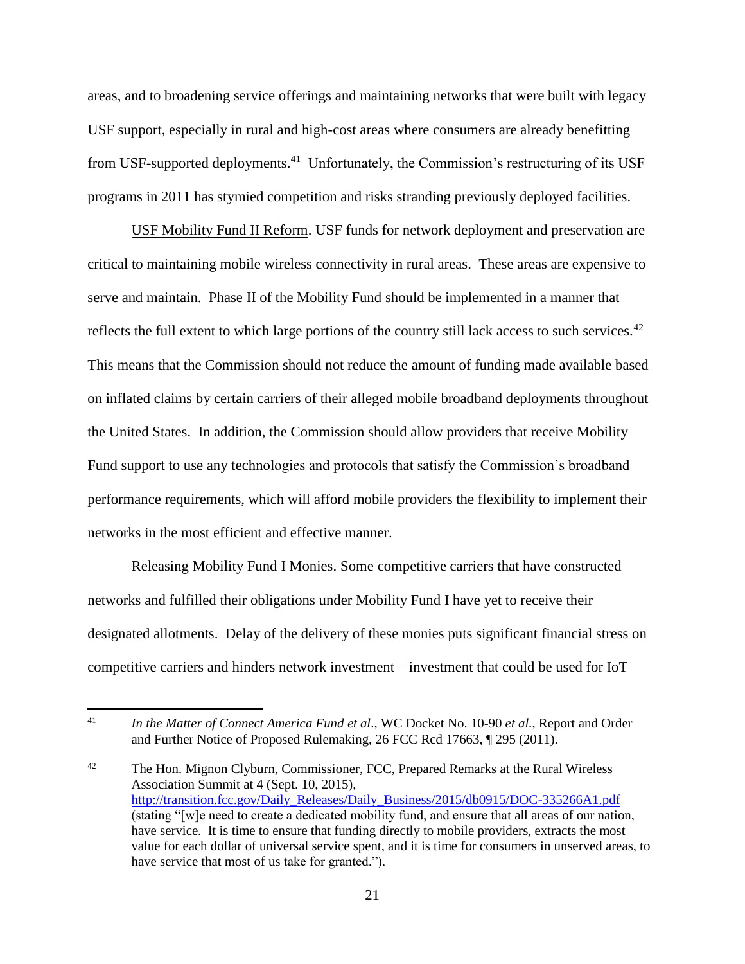areas, and to broadening service offerings and maintaining networks that were built with legacy USF support, especially in rural and high-cost areas where consumers are already benefitting from USF-supported deployments.<sup>41</sup> Unfortunately, the Commission's restructuring of its USF programs in 2011 has stymied competition and risks stranding previously deployed facilities.

USF Mobility Fund II Reform. USF funds for network deployment and preservation are critical to maintaining mobile wireless connectivity in rural areas. These areas are expensive to serve and maintain. Phase II of the Mobility Fund should be implemented in a manner that reflects the full extent to which large portions of the country still lack access to such services.<sup>42</sup> This means that the Commission should not reduce the amount of funding made available based on inflated claims by certain carriers of their alleged mobile broadband deployments throughout the United States. In addition, the Commission should allow providers that receive Mobility Fund support to use any technologies and protocols that satisfy the Commission's broadband performance requirements, which will afford mobile providers the flexibility to implement their networks in the most efficient and effective manner.

Releasing Mobility Fund I Monies. Some competitive carriers that have constructed networks and fulfilled their obligations under Mobility Fund I have yet to receive their designated allotments. Delay of the delivery of these monies puts significant financial stress on competitive carriers and hinders network investment – investment that could be used for IoT

<sup>41</sup> *In the Matter of Connect America Fund et al*., WC Docket No. 10-90 *et al.*, Report and Order and Further Notice of Proposed Rulemaking, 26 FCC Rcd 17663, ¶ 295 (2011).

<sup>&</sup>lt;sup>42</sup> The Hon. Mignon Clyburn, Commissioner, FCC, Prepared Remarks at the Rural Wireless Association Summit at 4 (Sept. 10, 2015), [http://transition.fcc.gov/Daily\\_Releases/Daily\\_Business/2015/db0915/DOC-335266A1.pdf](http://transition.fcc.gov/Daily_Releases/Daily_Business/2015/db0915/DOC-335266A1.pdf) (stating "[w]e need to create a dedicated mobility fund, and ensure that all areas of our nation, have service. It is time to ensure that funding directly to mobile providers, extracts the most value for each dollar of universal service spent, and it is time for consumers in unserved areas, to have service that most of us take for granted.").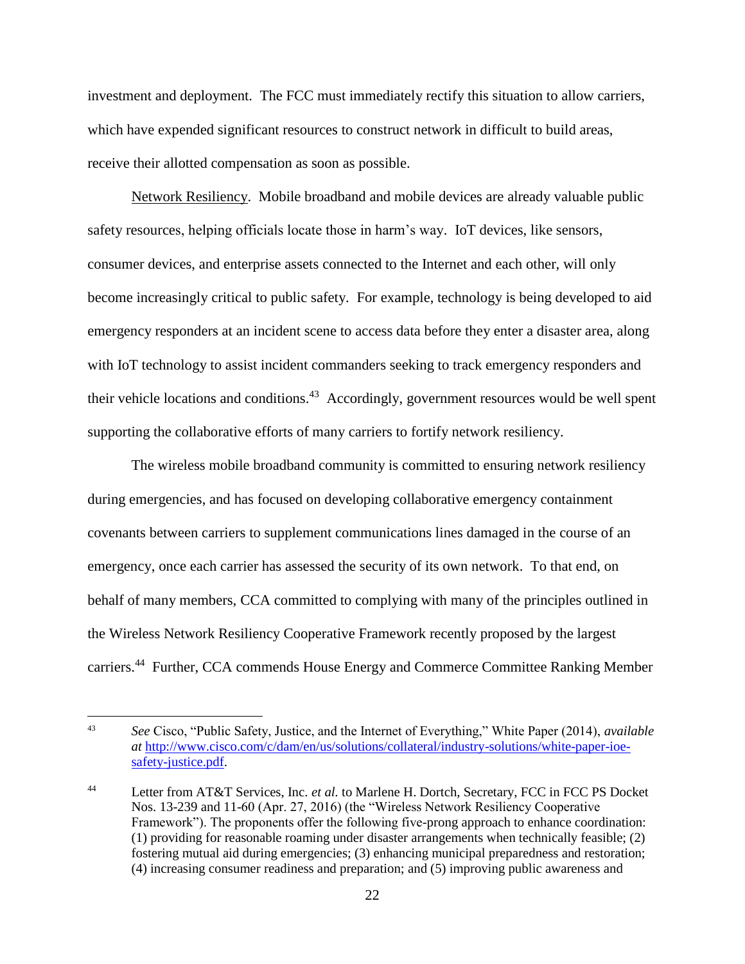investment and deployment. The FCC must immediately rectify this situation to allow carriers, which have expended significant resources to construct network in difficult to build areas, receive their allotted compensation as soon as possible.

Network Resiliency. Mobile broadband and mobile devices are already valuable public safety resources, helping officials locate those in harm's way. IoT devices, like sensors, consumer devices, and enterprise assets connected to the Internet and each other, will only become increasingly critical to public safety. For example, technology is being developed to aid emergency responders at an incident scene to access data before they enter a disaster area, along with IoT technology to assist incident commanders seeking to track emergency responders and their vehicle locations and conditions.<sup>43</sup> Accordingly, government resources would be well spent supporting the collaborative efforts of many carriers to fortify network resiliency.

The wireless mobile broadband community is committed to ensuring network resiliency during emergencies, and has focused on developing collaborative emergency containment covenants between carriers to supplement communications lines damaged in the course of an emergency, once each carrier has assessed the security of its own network. To that end, on behalf of many members, CCA committed to complying with many of the principles outlined in the Wireless Network Resiliency Cooperative Framework recently proposed by the largest carriers.<sup>44</sup> Further, CCA commends House Energy and Commerce Committee Ranking Member

<sup>43</sup> *See* Cisco, "Public Safety, Justice, and the Internet of Everything," White Paper (2014), *available at* [http://www.cisco.com/c/dam/en/us/solutions/collateral/industry-solutions/white-paper-ioe](http://www.cisco.com/c/dam/en/us/solutions/collateral/industry-solutions/white-paper-ioe-%09safety-justice.pdf)[safety-justice.pdf.](http://www.cisco.com/c/dam/en/us/solutions/collateral/industry-solutions/white-paper-ioe-%09safety-justice.pdf)

<sup>44</sup> Letter from AT&T Services, Inc. *et al.* to Marlene H. Dortch, Secretary, FCC in FCC PS Docket Nos. 13-239 and 11-60 (Apr. 27, 2016) (the "Wireless Network Resiliency Cooperative Framework"). The proponents offer the following five-prong approach to enhance coordination: (1) providing for reasonable roaming under disaster arrangements when technically feasible; (2) fostering mutual aid during emergencies; (3) enhancing municipal preparedness and restoration; (4) increasing consumer readiness and preparation; and (5) improving public awareness and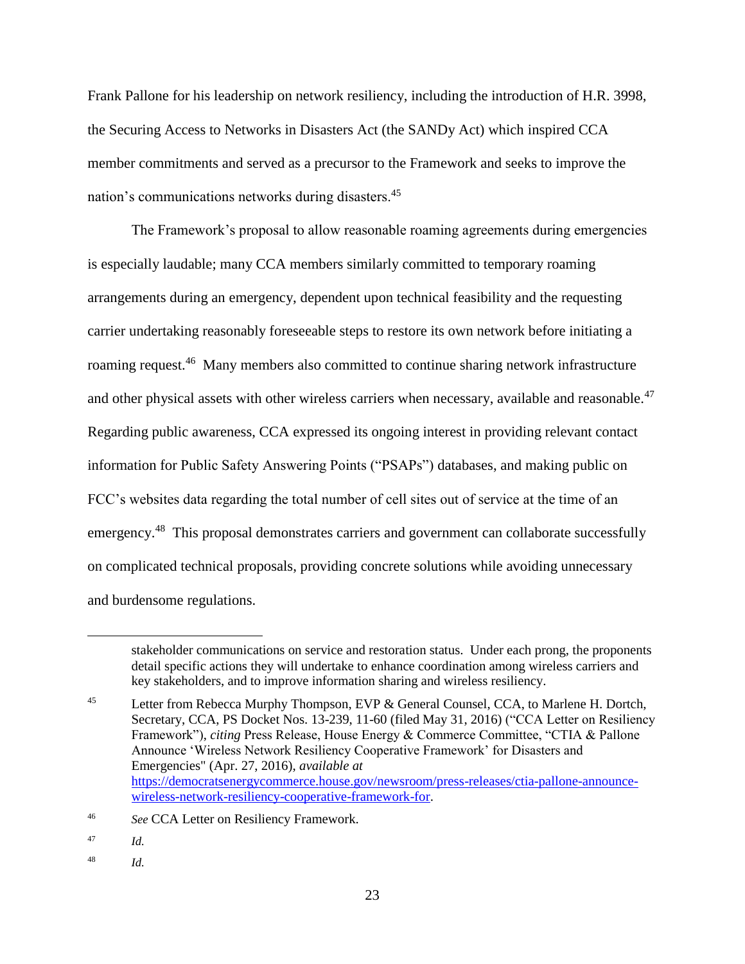Frank Pallone for his leadership on network resiliency, including the introduction of H.R. 3998, the Securing Access to Networks in Disasters Act (the SANDy Act) which inspired CCA member commitments and served as a precursor to the Framework and seeks to improve the nation's communications networks during disasters.<sup>45</sup>

The Framework's proposal to allow reasonable roaming agreements during emergencies is especially laudable; many CCA members similarly committed to temporary roaming arrangements during an emergency, dependent upon technical feasibility and the requesting carrier undertaking reasonably foreseeable steps to restore its own network before initiating a roaming request.<sup>46</sup> Many members also committed to continue sharing network infrastructure and other physical assets with other wireless carriers when necessary, available and reasonable.<sup>47</sup> Regarding public awareness, CCA expressed its ongoing interest in providing relevant contact information for Public Safety Answering Points ("PSAPs") databases, and making public on FCC's websites data regarding the total number of cell sites out of service at the time of an emergency.<sup>48</sup> This proposal demonstrates carriers and government can collaborate successfully on complicated technical proposals, providing concrete solutions while avoiding unnecessary and burdensome regulations.

stakeholder communications on service and restoration status. Under each prong, the proponents detail specific actions they will undertake to enhance coordination among wireless carriers and key stakeholders, and to improve information sharing and wireless resiliency.

<sup>&</sup>lt;sup>45</sup> Letter from Rebecca Murphy Thompson, EVP & General Counsel, CCA, to Marlene H. Dortch, Secretary, CCA, PS Docket Nos. 13-239, 11-60 (filed May 31, 2016) ("CCA Letter on Resiliency Framework"), *citing* Press Release, House Energy & Commerce Committee, "CTIA & Pallone Announce 'Wireless Network Resiliency Cooperative Framework' for Disasters and Emergencies" (Apr. 27, 2016), *available at* [https://democratsenergycommerce.house.gov/newsroom/press-releases/ctia-pallone-announce](https://democratsenergycommerce.house.gov/newsroom/press-releases/ctia-pallone-announce-%09wireless-network-resiliency-cooperative-framework-for)[wireless-network-resiliency-cooperative-framework-for.](https://democratsenergycommerce.house.gov/newsroom/press-releases/ctia-pallone-announce-%09wireless-network-resiliency-cooperative-framework-for)

<sup>46</sup> *See* CCA Letter on Resiliency Framework.

<sup>47</sup> *Id.* 

<sup>48</sup> *Id.*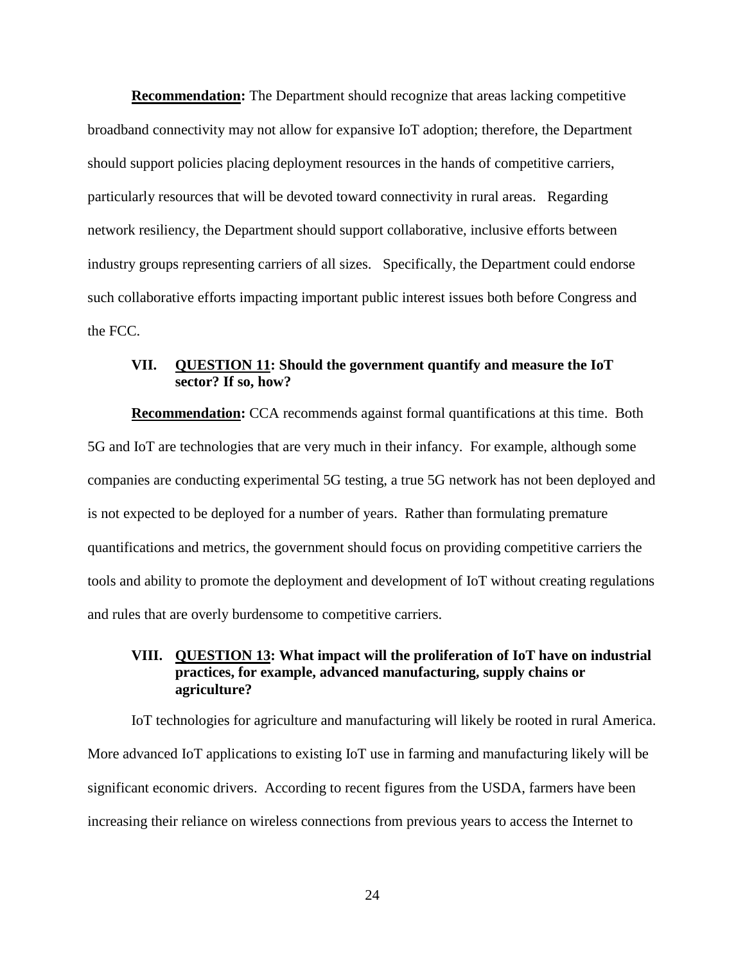**Recommendation:** The Department should recognize that areas lacking competitive broadband connectivity may not allow for expansive IoT adoption; therefore, the Department should support policies placing deployment resources in the hands of competitive carriers, particularly resources that will be devoted toward connectivity in rural areas. Regarding network resiliency, the Department should support collaborative, inclusive efforts between industry groups representing carriers of all sizes. Specifically, the Department could endorse such collaborative efforts impacting important public interest issues both before Congress and the FCC.

## <span id="page-25-0"></span>**VII. QUESTION 11: Should the government quantify and measure the IoT sector? If so, how?**

**Recommendation:** CCA recommends against formal quantifications at this time. Both 5G and IoT are technologies that are very much in their infancy. For example, although some companies are conducting experimental 5G testing, a true 5G network has not been deployed and is not expected to be deployed for a number of years. Rather than formulating premature quantifications and metrics, the government should focus on providing competitive carriers the tools and ability to promote the deployment and development of IoT without creating regulations and rules that are overly burdensome to competitive carriers.

## <span id="page-25-1"></span>**VIII. QUESTION 13: What impact will the proliferation of IoT have on industrial practices, for example, advanced manufacturing, supply chains or agriculture?**

IoT technologies for agriculture and manufacturing will likely be rooted in rural America. More advanced IoT applications to existing IoT use in farming and manufacturing likely will be significant economic drivers. According to recent figures from the USDA, farmers have been increasing their reliance on wireless connections from previous years to access the Internet to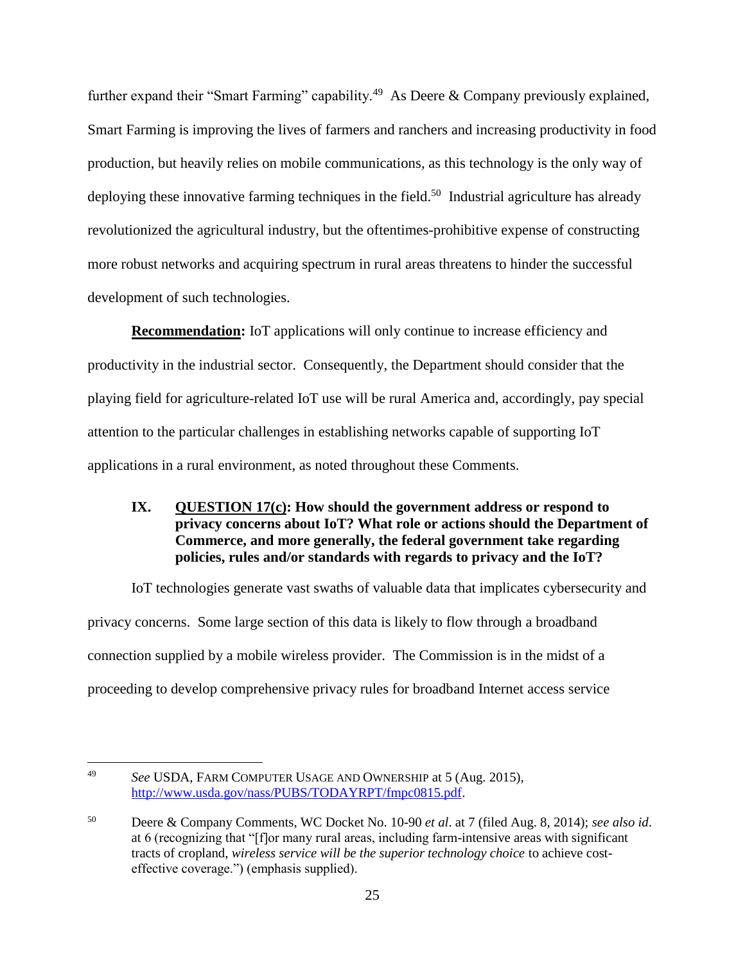further expand their "Smart Farming" capability.<sup>49</sup> As Deere & Company previously explained, Smart Farming is improving the lives of farmers and ranchers and increasing productivity in food production, but heavily relies on mobile communications, as this technology is the only way of deploying these innovative farming techniques in the field.<sup>50</sup> Industrial agriculture has already revolutionized the agricultural industry, but the oftentimes-prohibitive expense of constructing more robust networks and acquiring spectrum in rural areas threatens to hinder the successful development of such technologies.

**Recommendation:** IoT applications will only continue to increase efficiency and productivity in the industrial sector. Consequently, the Department should consider that the playing field for agriculture-related IoT use will be rural America and, accordingly, pay special attention to the particular challenges in establishing networks capable of supporting IoT applications in a rural environment, as noted throughout these Comments.

## <span id="page-26-0"></span>**IX. QUESTION 17(c): How should the government address or respond to privacy concerns about IoT? What role or actions should the Department of Commerce, and more generally, the federal government take regarding policies, rules and/or standards with regards to privacy and the IoT?**

IoT technologies generate vast swaths of valuable data that implicates cybersecurity and privacy concerns. Some large section of this data is likely to flow through a broadband connection supplied by a mobile wireless provider. The Commission is in the midst of a proceeding to develop comprehensive privacy rules for broadband Internet access service

<sup>49</sup> *See* USDA, FARM COMPUTER USAGE AND OWNERSHIP at 5 (Aug. 2015), [http://www.usda.gov/nass/PUBS/TODAYRPT/fmpc0815.pdf.](http://www.usda.gov/nass/PUBS/TODAYRPT/fmpc0815.pdf)

<sup>50</sup> Deere & Company Comments, WC Docket No. 10-90 *et al*. at 7 (filed Aug. 8, 2014); *see also id*. at 6 (recognizing that "[f]or many rural areas, including farm-intensive areas with significant tracts of cropland, *wireless service will be the superior technology choice* to achieve costeffective coverage.") (emphasis supplied).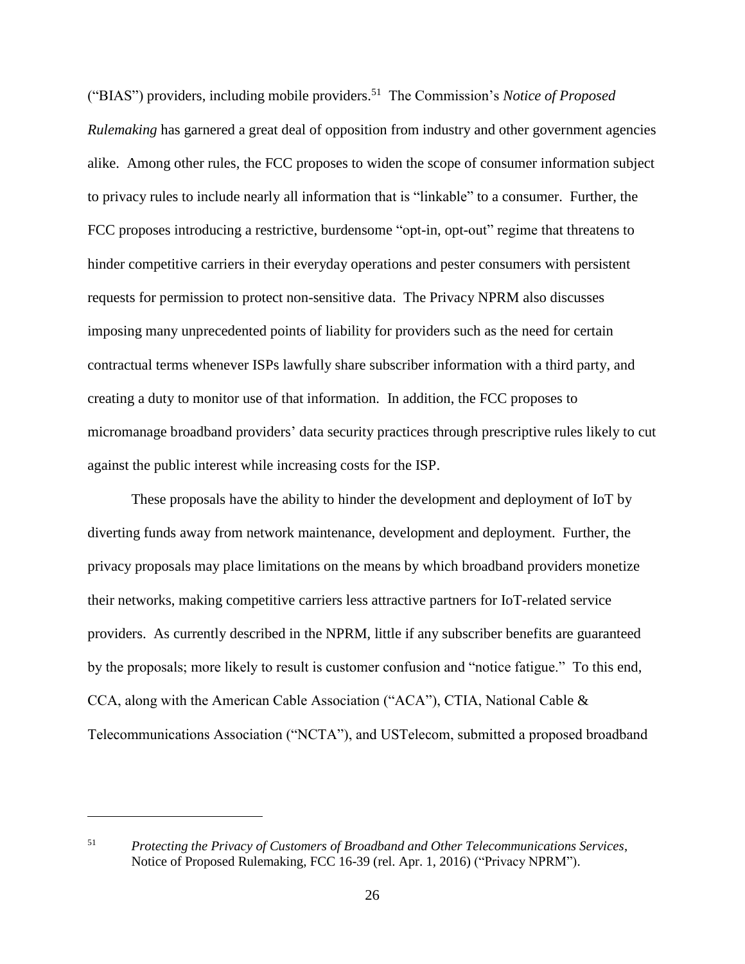("BIAS") providers, including mobile providers. 51 The Commission's *Notice of Proposed Rulemaking* has garnered a great deal of opposition from industry and other government agencies alike. Among other rules, the FCC proposes to widen the scope of consumer information subject to privacy rules to include nearly all information that is "linkable" to a consumer. Further, the FCC proposes introducing a restrictive, burdensome "opt-in, opt-out" regime that threatens to hinder competitive carriers in their everyday operations and pester consumers with persistent requests for permission to protect non-sensitive data. The Privacy NPRM also discusses imposing many unprecedented points of liability for providers such as the need for certain contractual terms whenever ISPs lawfully share subscriber information with a third party, and creating a duty to monitor use of that information. In addition, the FCC proposes to micromanage broadband providers' data security practices through prescriptive rules likely to cut against the public interest while increasing costs for the ISP.

These proposals have the ability to hinder the development and deployment of IoT by diverting funds away from network maintenance, development and deployment. Further, the privacy proposals may place limitations on the means by which broadband providers monetize their networks, making competitive carriers less attractive partners for IoT-related service providers. As currently described in the NPRM, little if any subscriber benefits are guaranteed by the proposals; more likely to result is customer confusion and "notice fatigue." To this end, CCA, along with the American Cable Association ("ACA"), CTIA, National Cable & Telecommunications Association ("NCTA"), and USTelecom, submitted a proposed broadband

<sup>51</sup> *Protecting the Privacy of Customers of Broadband and Other Telecommunications Services*, Notice of Proposed Rulemaking, FCC 16-39 (rel. Apr. 1, 2016) ("Privacy NPRM").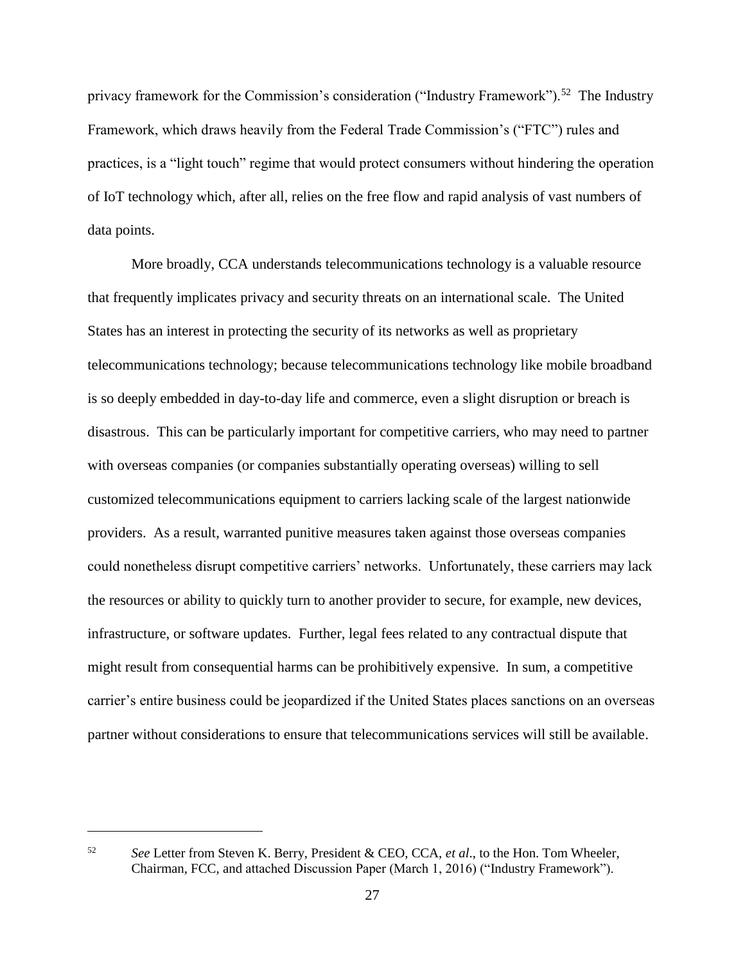privacy framework for the Commission's consideration ("Industry Framework").<sup>52</sup> The Industry Framework, which draws heavily from the Federal Trade Commission's ("FTC") rules and practices, is a "light touch" regime that would protect consumers without hindering the operation of IoT technology which, after all, relies on the free flow and rapid analysis of vast numbers of data points.

More broadly, CCA understands telecommunications technology is a valuable resource that frequently implicates privacy and security threats on an international scale. The United States has an interest in protecting the security of its networks as well as proprietary telecommunications technology; because telecommunications technology like mobile broadband is so deeply embedded in day-to-day life and commerce, even a slight disruption or breach is disastrous. This can be particularly important for competitive carriers, who may need to partner with overseas companies (or companies substantially operating overseas) willing to sell customized telecommunications equipment to carriers lacking scale of the largest nationwide providers. As a result, warranted punitive measures taken against those overseas companies could nonetheless disrupt competitive carriers' networks. Unfortunately, these carriers may lack the resources or ability to quickly turn to another provider to secure, for example, new devices, infrastructure, or software updates. Further, legal fees related to any contractual dispute that might result from consequential harms can be prohibitively expensive. In sum, a competitive carrier's entire business could be jeopardized if the United States places sanctions on an overseas partner without considerations to ensure that telecommunications services will still be available.

<sup>52</sup> *See* Letter from Steven K. Berry, President & CEO, CCA, *et al*., to the Hon. Tom Wheeler, Chairman, FCC, and attached Discussion Paper (March 1, 2016) ("Industry Framework").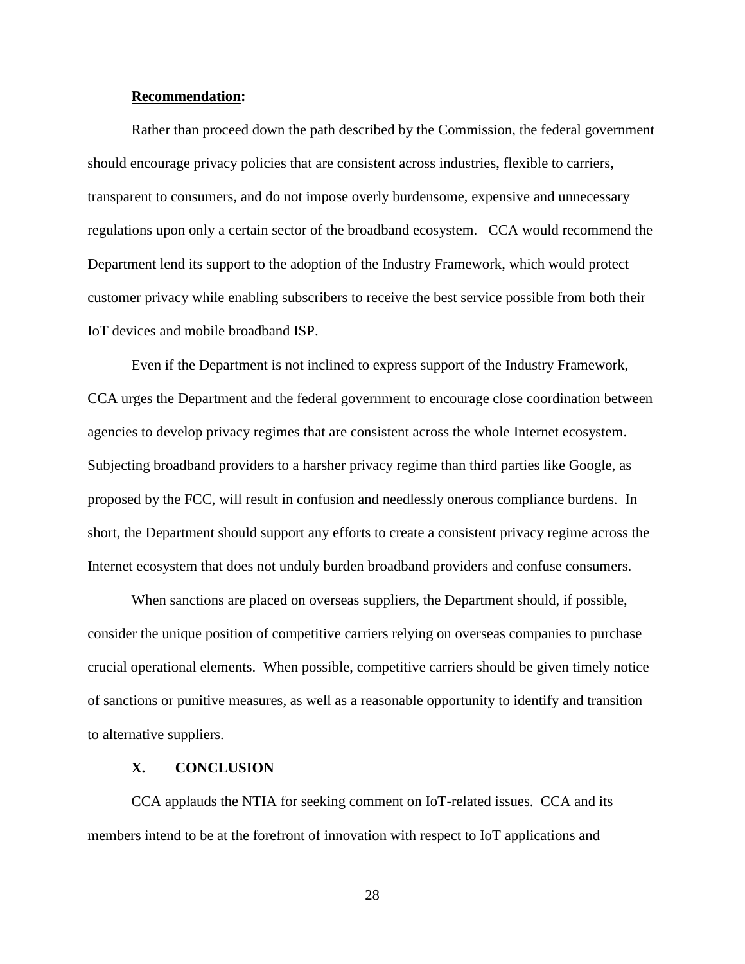#### **Recommendation:**

Rather than proceed down the path described by the Commission, the federal government should encourage privacy policies that are consistent across industries, flexible to carriers, transparent to consumers, and do not impose overly burdensome, expensive and unnecessary regulations upon only a certain sector of the broadband ecosystem. CCA would recommend the Department lend its support to the adoption of the Industry Framework, which would protect customer privacy while enabling subscribers to receive the best service possible from both their IoT devices and mobile broadband ISP.

Even if the Department is not inclined to express support of the Industry Framework, CCA urges the Department and the federal government to encourage close coordination between agencies to develop privacy regimes that are consistent across the whole Internet ecosystem. Subjecting broadband providers to a harsher privacy regime than third parties like Google, as proposed by the FCC, will result in confusion and needlessly onerous compliance burdens. In short, the Department should support any efforts to create a consistent privacy regime across the Internet ecosystem that does not unduly burden broadband providers and confuse consumers.

When sanctions are placed on overseas suppliers, the Department should, if possible, consider the unique position of competitive carriers relying on overseas companies to purchase crucial operational elements. When possible, competitive carriers should be given timely notice of sanctions or punitive measures, as well as a reasonable opportunity to identify and transition to alternative suppliers.

#### **X. CONCLUSION**

<span id="page-29-0"></span>CCA applauds the NTIA for seeking comment on IoT-related issues. CCA and its members intend to be at the forefront of innovation with respect to IoT applications and

28